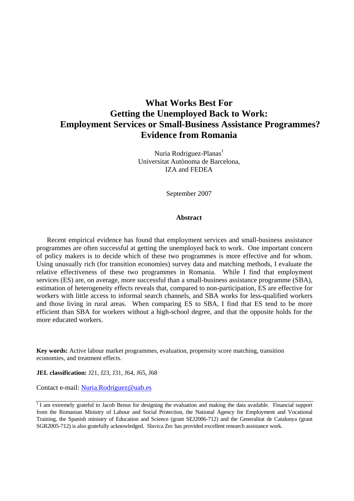# **What Works Best For Getting the Unemployed Back to Work: Employment Services or Small-Business Assistance Programmes? Evidence from Romania**

Nuria Rodriguez-Planas<sup>1</sup> Universitat Autònoma de Barcelona, IZA and FEDEA

September 2007

## **Abstract**

 Recent empirical evidence has found that employment services and small-business assistance programmes are often successful at getting the unemployed back to work. One important concern of policy makers is to decide which of these two programmes is more effective and for whom. Using unusually rich (for transition economies) survey data and matching methods, I evaluate the relative effectiveness of these two programmes in Romania. While I find that employment services (ES) are, on average, more successful than a small-business assistance programme (SBA), estimation of heterogeneity effects reveals that, compared to non-participation, ES are effective for workers with little access to informal search channels, and SBA works for less-qualified workers and those living in rural areas. When comparing ES to SBA, I find that ES tend to be more efficient than SBA for workers without a high-school degree, and that the opposite holds for the more educated workers.

**Key words:** Active labour market programmes, evaluation, propensity score matching, transition economies, and treatment effects.

**JEL classification:** J21, J23, J31, J64, J65, J68

Contact e-mail: Nuria.Rodriguez@uab.es

 $1$  I am extremely grateful to Jacob Benus for designing the evaluation and making the data available. Financial support from the Romanian Ministry of Labour and Social Protection, the National Agency for Employment and Vocational Training, the Spanish ministry of Education and Science (grant SEJ2006-712) and the Generalitat de Catalunya (grant SGR2005-712) is also gratefully acknowledged. Slavica Zec has provided excellent research assistance work.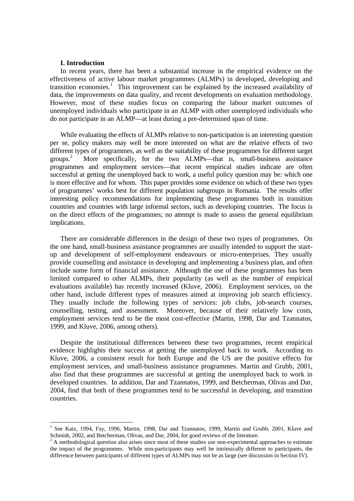#### **I. Introduction**

In recent years, there has been a substantial increase in the empirical evidence on the effectiveness of active labour market programmes (ALMPs) in developed, developing and transition economies.<sup>1</sup> This improvement can be explained by the increased availability of data, the improvements on data quality, and recent developments on evaluation methodology. However, most of these studies focus on comparing the labour market outcomes of unemployed individuals who participate in an ALMP with other unemployed individuals who do not participate in an ALMP—at least during a pre-determined span of time.

While evaluating the effects of ALMPs relative to non-participation is an interesting question per se, policy makers may well be more interested on what are the relative effects of two different types of programmes, as well as the suitability of these programmes for different target  $groups.<sup>2</sup>$  More specifically, for the two ALMPs—that is, small-business assistance programmes and employment services—that recent empirical studies indicate are often successful at getting the unemployed back to work, a useful policy question may be: which one is more effective and for whom. This paper provides some evidence on which of these two types of programmes' works best for different population subgroups in Romania. The results offer interesting policy recommendations for implementing these programmes both in transition countries and countries with large informal sectors, such as developing countries. The focus is on the direct effects of the programmes; no attempt is made to assess the general equilibrium implications.

 There are considerable differences in the design of these two types of programmes. On the one hand, small-business assistance programmes are usually intended to support the startup and development of self-employment endeavours or micro-enterprises. They usually provide counselling and assistance in developing and implementing a business plan, and often include some form of financial assistance. Although the use of these programmes has been limited compared to other ALMPs, their popularity (as well as the number of empirical evaluations available) has recently increased (Kluve, 2006). Employment services, on the other hand, include different types of measures aimed at improving job search efficiency. They usually include the following types of services: job clubs, job-search courses, counselling, testing, and assessment. Moreover, because of their relatively low costs, employment services tend to be the most cost-effective (Martin, 1998, Dar and Tzannatos, 1999, and Kluve, 2006, among others).

Despite the institutional differences between these two programmes, recent empirical evidence highlights their success at getting the unemployed back to work. According to Kluve, 2006, a consistent result for both Europe and the US are the positive effects for employment services, and small-business assistance programmes. Martin and Grubb, 2001, also find that these programmes are successful at getting the unemployed back to work in developed countries. In addition, Dar and Tzannatos, 1999, and Betcherman, Olivas and Dar, 2004, find that both of these programmes tend to be successful in developing, and transition countries.

<sup>1</sup> See Katz, 1994, Fay, 1996, Martin, 1998, Dar and Tzannatos, 1999, Martin and Grubb, 2001, Kluve and Schmidt, 2002, and Betcherman, Olivas, and Dar, 2004, for good reviews of the literature.

 $2^2$  A methodological question also arises since most of these studies use non-experimental approaches to estimate the impact of the programmes. While non-participants may well be intrinsically different to participants, the difference between participants of different types of ALMPs may not be as large (see discussion in Section IV).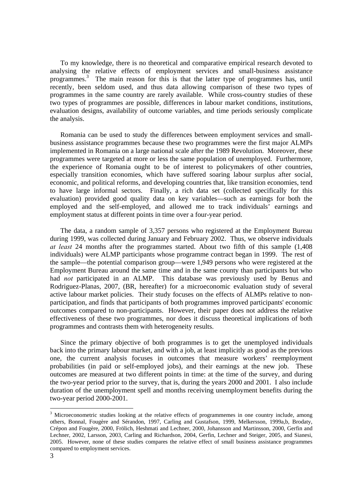To my knowledge, there is no theoretical and comparative empirical research devoted to analysing the relative effects of employment services and small-business assistance programmes.<sup>3</sup> The main reason for this is that the latter type of programmes has, until recently, been seldom used, and thus data allowing comparison of these two types of programmes in the same country are rarely available. While cross-country studies of these two types of programmes are possible, differences in labour market conditions, institutions, evaluation designs, availability of outcome variables, and time periods seriously complicate the analysis.

Romania can be used to study the differences between employment services and smallbusiness assistance programmes because these two programmes were the first major ALMPs implemented in Romania on a large national scale after the 1989 Revolution. Moreover, these programmes were targeted at more or less the same population of unemployed. Furthermore, the experience of Romania ought to be of interest to policymakers of other countries, especially transition economies, which have suffered soaring labour surplus after social, economic, and political reforms, and developing countries that, like transition economies, tend to have large informal sectors. Finally, a rich data set (collected specifically for this evaluation) provided good quality data on key variables—such as earnings for both the employed and the self-employed, and allowed me to track individuals' earnings and employment status at different points in time over a four-year period.

 The data, a random sample of 3,357 persons who registered at the Employment Bureau during 1999, was collected during January and February 2002. Thus, we observe individuals *at least* 24 months after the programmes started. About two fifth of this sample (1,408 individuals) were ALMP participants whose programme contract began in 1999. The rest of the sample—the potential comparison group—were 1,949 persons who were registered at the Employment Bureau around the same time and in the same county than participants but who had *not* participated in an ALMP. This database was previously used by Benus and Rodriguez-Planas, 2007, (BR, hereafter) for a microeconomic evaluation study of several active labour market policies. Their study focuses on the effects of ALMPs relative to nonparticipation, and finds that participants of both programmes improved participants' economic outcomes compared to non-participants. However, their paper does not address the relative effectiveness of these two programmes, nor does it discuss theoretical implications of both programmes and contrasts them with heterogeneity results.

 Since the primary objective of both programmes is to get the unemployed individuals back into the primary labour market, and with a job, at least implicitly as good as the previous one, the current analysis focuses in outcomes that measure workers' reemployment probabilities (in paid or self-employed jobs), and their earnings at the new job. These outcomes are measured at two different points in time: at the time of the survey, and during the two-year period prior to the survey, that is, during the years 2000 and 2001. I also include duration of the unemployment spell and months receiving unemployment benefits during the two-year period 2000-2001.

 $3$  Microeconometric studies looking at the relative effects of programmemes in one country include, among others, Bonnal, Fougère and Sérandon, 1997, Carling and Gustafson, 1999, Melkersson, 1999a,b, Brodaty, Crépon and Fougère, 2000, Frölich, Heshmati and Lechner, 2000, Johansson and Martinsson, 2000, Gerfin and Lechner, 2002, Larsson, 2003, Carling and Richardson, 2004, Gerfin, Lechner and Steiger, 2005, and Sianesi, 2005. However, none of these studies compares the relative effect of small business assistance programmes compared to employment services.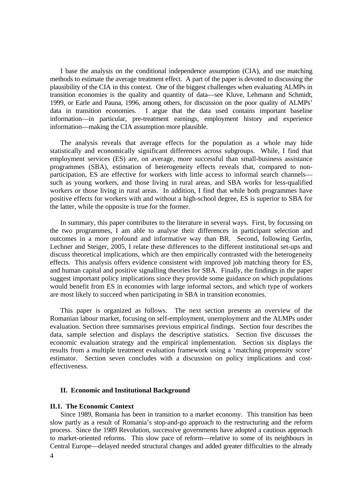I base the analysis on the conditional independence assumption (CIA), and use matching methods to estimate the average treatment effect. A part of the paper is devoted to discussing the plausibility of the CIA in this context. One of the biggest challenges when evaluating ALMPs in transition economies is the quality and quantity of data—see Kluve, Lehmann and Schmidt, 1999, or Earle and Pauna, 1996, among others, for discussion on the poor quality of ALMPs' data in transition economies. I argue that the data used contains important baseline information—in particular, pre-treatment earnings, employment history and experience information—making the CIA assumption more plausible.

 The analysis reveals that average effects for the population as a whole may hide statistically and economically significant differences across subgroups. While, I find that employment services (ES) are, on average, more successful than small-business assistance programmes (SBA), estimation of heterogeneity effects reveals that, compared to nonparticipation, ES are effective for workers with little access to informal search channels such as young workers, and those living in rural areas, and SBA works for less-qualified workers or those living in rural areas. In addition, I find that while both programmes have positive effects for workers with and without a high-school degree, ES is superior to SBA for the latter, while the opposite is true for the former.

 In summary, this paper contributes to the literature in several ways. First, by focussing on the two programmes, I am able to analyse their differences in participant selection and outcomes in a more profound and informative way than BR. Second, following Gerfin, Lechner and Steiger, 2005, I relate these differences to the different institutional set-ups and discuss theoretical implications, which are then empirically contrasted with the heterogeneity effects. This analysis offers evidence consistent with improved job matching theory for ES, and human capital and positive signalling theories for SBA. Finally, the findings in the paper suggest important policy implications since they provide some guidance on which populations would benefit from ES in economies with large informal sectors, and which type of workers are most likely to succeed when participating in SBA in transition economies.

 This paper is organized as follows. The next section presents an overview of the Romanian labour market, focusing on self-employment, unemployment and the ALMPs under evaluation. Section three summarises previous empirical findings. Section four describes the data, sample selection and displays the descriptive statistics. Section five discusses the economic evaluation strategy and the empirical implementation. Section six displays the results from a multiple treatment evaluation framework using a 'matching propensity score' estimator. Section seven concludes with a discussion on policy implications and costeffectiveness.

#### **II. Economic and Institutional Background**

## **II.1. The Economic Context**

 Since 1989, Romania has been in transition to a market economy. This transition has been slow partly as a result of Romania's stop-and-go approach to the restructuring and the reform process. Since the 1989 Revolution, successive governments have adopted a cautious approach to market-oriented reforms. This slow pace of reform—relative to some of its neighbours in Central Europe—delayed needed structural changes and added greater difficulties to the already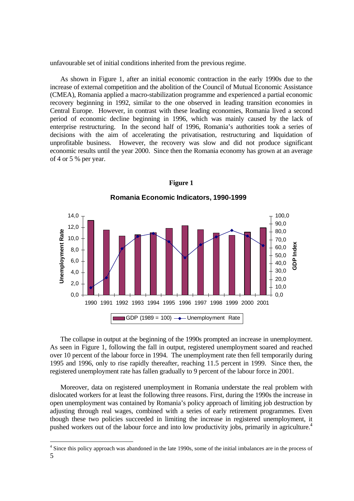unfavourable set of initial conditions inherited from the previous regime.

 As shown in Figure 1, after an initial economic contraction in the early 1990s due to the increase of external competition and the abolition of the Council of Mutual Economic Assistance (CMEA), Romania applied a macro-stabilization programme and experienced a partial economic recovery beginning in 1992, similar to the one observed in leading transition economies in Central Europe. However, in contrast with these leading economies, Romania lived a second period of economic decline beginning in 1996, which was mainly caused by the lack of enterprise restructuring. In the second half of 1996, Romania's authorities took a series of decisions with the aim of accelerating the privatisation, restructuring and liquidation of unprofitable business. However, the recovery was slow and did not produce significant economic results until the year 2000. Since then the Romania economy has grown at an average of 4 or 5 % per year.



**Figure 1** 

 The collapse in output at the beginning of the 1990s prompted an increase in unemployment. As seen in Figure 1, following the fall in output, registered unemployment soared and reached over 10 percent of the labour force in 1994. The unemployment rate then fell temporarily during 1995 and 1996, only to rise rapidly thereafter, reaching 11.5 percent in 1999. Since then, the registered unemployment rate has fallen gradually to 9 percent of the labour force in 2001.

 Moreover, data on registered unemployment in Romania understate the real problem with dislocated workers for at least the following three reasons. First, during the 1990s the increase in open unemployment was contained by Romania's policy approach of limiting job destruction by adjusting through real wages, combined with a series of early retirement programmes. Even though these two policies succeeded in limiting the increase in registered unemployment, it pushed workers out of the labour force and into low productivity jobs, primarily in agriculture.<sup>4</sup>

 5 <sup>4</sup> Since this policy approach was abandoned in the late 1990s, some of the initial imbalances are in the process of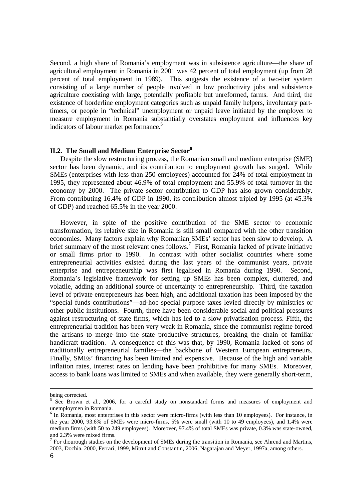Second, a high share of Romania's employment was in subsistence agriculture—the share of agricultural employment in Romania in 2001 was 42 percent of total employment (up from 28 percent of total employment in 1989). This suggests the existence of a two-tier system consisting of a large number of people involved in low productivity jobs and subsistence agriculture coexisting with large, potentially profitable but unreformed, farms. And third, the existence of borderline employment categories such as unpaid family helpers, involuntary parttimers, or people in "technical" unemployment or unpaid leave initiated by the employer to measure employment in Romania substantially overstates employment and influences key indicators of labour market performance.<sup>5</sup>

### **II.2. The Small and Medium Enterprise Sector<sup>6</sup>**

Despite the slow restructuring process, the Romanian small and medium enterprise (SME) sector has been dynamic, and its contribution to employment growth has surged. While SMEs (enterprises with less than 250 employees) accounted for 24% of total employment in 1995, they represented about 46.9% of total employment and 55.9% of total turnover in the economy by 2000. The private sector contribution to GDP has also grown considerably. From contributing 16.4% of GDP in 1990, its contribution almost tripled by 1995 (at 45.3% of GDP) and reached 65.5% in the year 2000.

However, in spite of the positive contribution of the SME sector to economic transformation, its relative size in Romania is still small compared with the other transition economies. Many factors explain why Romanian SMEs' sector has been slow to develop. A brief summary of the most relevant ones follows.<sup>7</sup> First, Romania lacked of private initiative or small firms prior to 1990. In contrast with other socialist countries where some entrepreneurial activities existed during the last years of the communist years, private enterprise and entrepreneurship was first legalised in Romania during 1990. Second, Romania's legislative framework for setting up SMEs has been complex, cluttered, and volatile, adding an additional source of uncertainty to entrepreneurship. Third, the taxation level of private entrepreneurs has been high, and additional taxation has been imposed by the "special funds contributions"—ad-hoc special purpose taxes levied directly by ministries or other public institutions. Fourth, there have been considerable social and political pressures against restructuring of state firms, which has led to a slow privatisation process. Fifth, the entrepreneurial tradition has been very weak in Romania, since the communist regime forced the artisans to merge into the state productive structures, breaking the chain of familiar handicraft tradition. A consequence of this was that, by 1990, Romania lacked of sons of traditionally entrepreneurial families—the backbone of Western European entrepreneurs. Finally, SMEs' financing has been limited and expensive. Because of the high and variable inflation rates, interest rates on lending have been prohibitive for many SMEs. Moreover, access to bank loans was limited to SMEs and when available, they were generally short-term,

being corrected.

<sup>&</sup>lt;sup>5</sup> See Brown et al., 2006, for a careful study on nonstandard forms and measures of employment and unemploymen in Romania.

<sup>&</sup>lt;sup>6</sup> In Romania, most enterprises in this sector were micro-firms (with less than 10 employees). For instance, in the year 2000, 93.6% of SMEs were micro-firms, 5% were small (with 10 to 49 employees), and 1.4% were medium firms (with 50 to 249 employees). Moreover, 97.4% of total SMEs was private, 0.3% was state-owned, and 2.3% were mixed firms.

 $<sup>7</sup>$  For thourough studies on the development of SMEs during the transition in Romania, see Ahrend and Martins,</sup> 2003, Dochia, 2000, Ferrari, 1999, Mitrut and Constantin, 2006, Nagarajan and Meyer, 1997a, among others.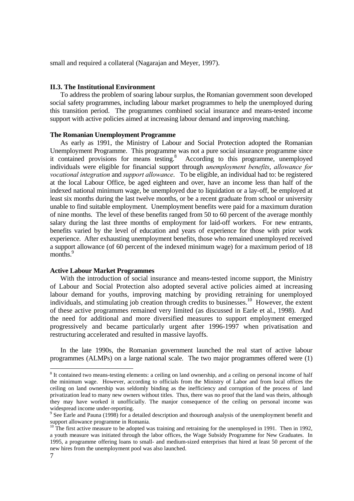small and required a collateral (Nagarajan and Meyer, 1997).

#### **II.3. The Institutional Environment**

 To address the problem of soaring labour surplus, the Romanian government soon developed social safety programmes, including labour market programmes to help the unemployed during this transition period. The programmes combined social insurance and means-tested income support with active policies aimed at increasing labour demand and improving matching.

#### **The Romanian Unemployment Programme**

 As early as 1991, the Ministry of Labour and Social Protection adopted the Romanian Unemployment Programme. This programme was not a pure social insurance programme since it contained provisions for means testing. $8$  According to this programme, unemployed individuals were eligible for financial support through *unemployment benefits*, *allowance for vocational integration* and *support allowance*. To be eligible, an individual had to: be registered at the local Labour Office, be aged eighteen and over, have an income less than half of the indexed national minimum wage, be unemployed due to liquidation or a lay-off, be employed at least six months during the last twelve months, or be a recent graduate from school or university unable to find suitable employment. Unemployment benefits were paid for a maximum duration of nine months. The level of these benefits ranged from 50 to 60 percent of the average monthly salary during the last three months of employment for laid-off workers. For new entrants, benefits varied by the level of education and years of experience for those with prior work experience. After exhausting unemployment benefits, those who remained unemployed received a support allowance (of 60 percent of the indexed minimum wage) for a maximum period of 18 months.<sup>9</sup>

## **Active Labour Market Programmes**

 With the introduction of social insurance and means-tested income support, the Ministry of Labour and Social Protection also adopted several active policies aimed at increasing labour demand for youths, improving matching by providing retraining for unemployed individuals, and stimulating job creation through credits to businesses.<sup>10</sup> However, the extent of these active programmes remained very limited (as discussed in Earle et al., 1998). And the need for additional and more diversified measures to support employment emerged progressively and became particularly urgent after 1996-1997 when privatisation and restructuring accelerated and resulted in massive layoffs.

 In the late 1990s, the Romanian government launched the real start of active labour programmes (ALMPs) on a large national scale. The two major programmes offered were (1)

<sup>&</sup>lt;sup>8</sup> It contained two means-testing elements: a ceiling on land ownership, and a ceiling on personal income of half the minimum wage. However, according to officials from the Ministry of Labor and from local offices the ceiling on land ownership was seldomly binding as the inefficiency and corruption of the process of land privatization lead to many new owners without titles. Thus, there was no proof that the land was theirs, although they may have worked it unofficially. The manjor consequence of the ceiling on personal income was widespread income under-reporting.

 $9^9$  See Earle and Pauna (1998) for a detailed description and thourough analysis of the unemployment benefit and support allowance programme in Romania.

<sup>&</sup>lt;sup>10</sup> The first active measure to be adopted was training and retraining for the unemployed in 1991. Then in 1992, a youth measure was initiated through the labor offices, the Wage Subsidy Programme for New Graduates. In 1995, a programme offering loans to small- and medium-sized enterprises that hired at least 50 percent of the new hires from the unemployment pool was also launched.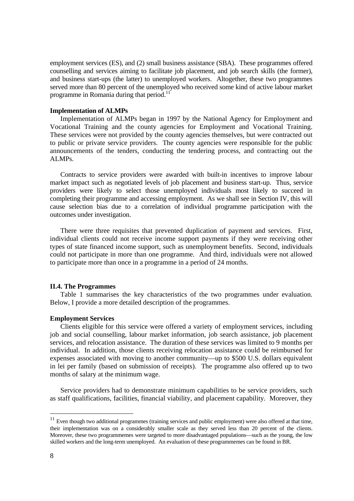employment services (ES), and (2) small business assistance (SBA). These programmes offered counselling and services aiming to facilitate job placement, and job search skills (the former), and business start-ups (the latter) to unemployed workers. Altogether, these two programmes served more than 80 percent of the unemployed who received some kind of active labour market programme in Romania during that period.<sup>11</sup>

### **Implementation of ALMPs**

 Implementation of ALMPs began in 1997 by the National Agency for Employment and Vocational Training and the county agencies for Employment and Vocational Training. These services were not provided by the county agencies themselves, but were contracted out to public or private service providers. The county agencies were responsible for the public announcements of the tenders, conducting the tendering process, and contracting out the ALMPs.

 Contracts to service providers were awarded with built-in incentives to improve labour market impact such as negotiated levels of job placement and business start-up. Thus, service providers were likely to select those unemployed individuals most likely to succeed in completing their programme and accessing employment. As we shall see in Section IV, this will cause selection bias due to a correlation of individual programme participation with the outcomes under investigation.

 There were three requisites that prevented duplication of payment and services. First, individual clients could not receive income support payments if they were receiving other types of state financed income support, such as unemployment benefits. Second, individuals could not participate in more than one programme. And third, individuals were not allowed to participate more than once in a programme in a period of 24 months.

#### **II.4. The Programmes**

 Table 1 summarises the key characteristics of the two programmes under evaluation. Below, I provide a more detailed description of the programmes.

#### **Employment Services**

 Clients eligible for this service were offered a variety of employment services, including job and social counselling, labour market information, job search assistance, job placement services, and relocation assistance. The duration of these services was limited to 9 months per individual. In addition, those clients receiving relocation assistance could be reimbursed for expenses associated with moving to another community—up to \$500 U.S. dollars equivalent in lei per family (based on submission of receipts). The programme also offered up to two months of salary at the minimum wage.

 Service providers had to demonstrate minimum capabilities to be service providers, such as staff qualifications, facilities, financial viability, and placement capability. Moreover, they

 $11$  Even though two additional programmes (training services and public employment) were also offered at that time, their implementation was on a considerably smaller scale as they served less than 20 percent of the clients. Moreover, these two programmemes were targeted to more disadvantaged populations—such as the young, the low skilled workers and the long-term unemployed. An evaluation of these programmemes can be found in BR.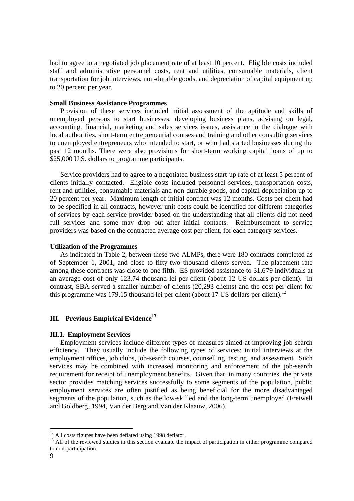had to agree to a negotiated job placement rate of at least 10 percent. Eligible costs included staff and administrative personnel costs, rent and utilities, consumable materials, client transportation for job interviews, non-durable goods, and depreciation of capital equipment up to 20 percent per year.

### **Small Business Assistance Programmes**

 Provision of these services included initial assessment of the aptitude and skills of unemployed persons to start businesses, developing business plans, advising on legal, accounting, financial, marketing and sales services issues, assistance in the dialogue with local authorities, short-term entrepreneurial courses and training and other consulting services to unemployed entrepreneurs who intended to start, or who had started businesses during the past 12 months. There were also provisions for short-term working capital loans of up to \$25,000 U.S. dollars to programme participants.

 Service providers had to agree to a negotiated business start-up rate of at least 5 percent of clients initially contacted. Eligible costs included personnel services, transportation costs, rent and utilities, consumable materials and non-durable goods, and capital depreciation up to 20 percent per year. Maximum length of initial contract was 12 months. Costs per client had to be specified in all contracts, however unit costs could be identified for different categories of services by each service provider based on the understanding that all clients did not need full services and some may drop out after initial contacts. Reimbursement to service providers was based on the contracted average cost per client, for each category services.

## **Utilization of the Programmes**

 As indicated in Table 2, between these two ALMPs, there were 180 contracts completed as of September 1, 2001, and close to fifty-two thousand clients served. The placement rate among these contracts was close to one fifth. ES provided assistance to 31,679 individuals at an average cost of only 123.74 thousand lei per client (about 12 US dollars per client). In contrast, SBA served a smaller number of clients (20,293 clients) and the cost per client for this programme was 179.15 thousand lei per client (about 17 US dollars per client).<sup>12</sup>

## **III.** Previous Empirical Evidence<sup>13</sup>

## **III.1. Employment Services**

 Employment services include different types of measures aimed at improving job search efficiency. They usually include the following types of services: initial interviews at the employment offices, job clubs, job-search courses, counselling, testing, and assessment. Such services may be combined with increased monitoring and enforcement of the job-search requirement for receipt of unemployment benefits. Given that, in many countries, the private sector provides matching services successfully to some segments of the population, public employment services are often justified as being beneficial for the more disadvantaged segments of the population, such as the low-skilled and the long-term unemployed (Fretwell and Goldberg, 1994, Van der Berg and Van der Klaauw, 2006).

 $\overline{a}$ <sup>12</sup> All costs figures have been deflated using 1998 deflator.

<sup>&</sup>lt;sup>13</sup> All of the reviewed studies in this section evaluate the impact of participation in either programme compared to non-participation.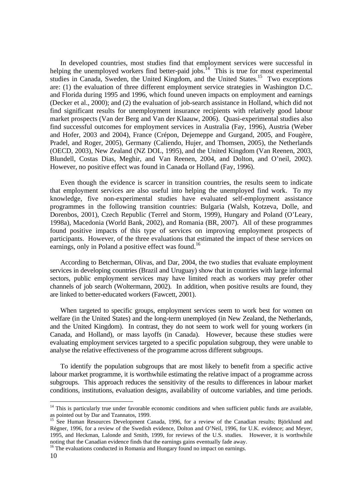In developed countries, most studies find that employment services were successful in helping the unemployed workers find better-paid jobs.<sup>14</sup> This is true for most experimental studies in Canada, Sweden, the United Kingdom, and the United States.<sup>15</sup> Two exceptions are: (1) the evaluation of three different employment service strategies in Washington D.C. and Florida during 1995 and 1996, which found uneven impacts on employment and earnings (Decker et al., 2000); and (2) the evaluation of job-search assistance in Holland, which did not find significant results for unemployment insurance recipients with relatively good labour market prospects (Van der Berg and Van der Klaauw, 2006). Quasi-experimental studies also find successful outcomes for employment services in Australia (Fay, 1996), Austria (Weber and Hofer, 2003 and 2004), France (Crépon, Dejemeppe and Gurgand, 2005, and Fougère, Pradel, and Roger, 2005), Germany (Caliendo, Hujer, and Thomsen, 2005), the Netherlands (OECD, 2003), New Zealand (NZ DOL, 1995), and the United Kingdom (Van Reenen, 2003, Blundell, Costas Dias, Meghir, and Van Reenen, 2004, and Dolton, and O'neil, 2002). However, no positive effect was found in Canada or Holland (Fay, 1996).

 Even though the evidence is scarcer in transition countries, the results seem to indicate that employment services are also useful into helping the unemployed find work. To my knowledge, five non-experimental studies have evaluated self-employment assistance programmes in the following transition countries: Bulgaria (Walsh, Kotzeva, Dolle, and Dorenbos, 2001), Czech Republic (Terrel and Storm, 1999), Hungary and Poland (O'Leary, 1998a), Macedonia (World Bank, 2002), and Romania (BR, 2007). All of these programmes found positive impacts of this type of services on improving employment prospects of participants. However, of the three evaluations that estimated the impact of these services on earnings, only in Poland a positive effect was found.<sup>16</sup>

 According to Betcherman, Olivas, and Dar, 2004, the two studies that evaluate employment services in developing countries (Brazil and Uruguay) show that in countries with large informal sectors, public employment services may have limited reach as workers may prefer other channels of job search (Woltermann, 2002). In addition, when positive results are found, they are linked to better-educated workers (Fawcett, 2001).

 When targeted to specific groups, employment services seem to work best for women on welfare (in the United States) and the long-term unemployed (in New Zealand, the Netherlands, and the United Kingdom). In contrast, they do not seem to work well for young workers (in Canada, and Holland), or mass layoffs (in Canada). However, because these studies were evaluating employment services targeted to a specific population subgroup, they were unable to analyse the relative effectiveness of the programme across different subgroups.

 To identify the population subgroups that are most likely to benefit from a specific active labour market programme, it is worthwhile estimating the relative impact of a programme across subgroups. This approach reduces the sensitivity of the results to differences in labour market conditions, institutions, evaluation designs, availability of outcome variables, and time periods.

<sup>&</sup>lt;sup>14</sup> This is particularly true under favorable economic conditions and when sufficient public funds are available, as pointed out by Dar and Tzannatos, 1999.

<sup>&</sup>lt;sup>15</sup> See Human Resources Development Canada, 1996, for a review of the Canadian results; Björklund and Régner, 1996, for a review of the Swedish evidence, Dolton and O'Neil, 1996, for U.K. evidence; and Meyer, 1995, and Heckman, Lalonde and Smith, 1999, for reviews of the U.S. studies. However, it is worthwhile noting that the Canadian evidence finds that the earnings gains eventually fade away.

<sup>&</sup>lt;sup>16</sup> The evaluations conducted in Romania and Hungary found no impact on earnings.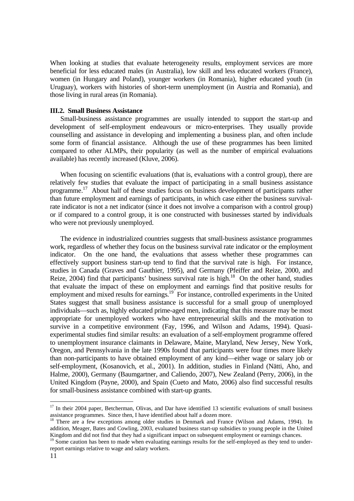When looking at studies that evaluate heterogeneity results, employment services are more beneficial for less educated males (in Australia), low skill and less educated workers (France), women (in Hungary and Poland), younger workers (in Romania), higher educated youth (in Uruguay), workers with histories of short-term unemployment (in Austria and Romania), and those living in rural areas (in Romania).

### **III.2. Small Business Assistance**

 Small-business assistance programmes are usually intended to support the start-up and development of self-employment endeavours or micro-enterprises. They usually provide counselling and assistance in developing and implementing a business plan, and often include some form of financial assistance. Although the use of these programmes has been limited compared to other ALMPs, their popularity (as well as the number of empirical evaluations available) has recently increased (Kluve, 2006).

When focusing on scientific evaluations (that is, evaluations with a control group), there are relatively few studies that evaluate the impact of participating in a small business assistance programme.17 About half of these studies focus on business development of participants rather than future employment and earnings of participants, in which case either the business survivalrate indicator is not a net indicator (since it does not involve a comparison with a control group) or if compared to a control group, it is one constructed with businesses started by individuals who were not previously unemployed.

 The evidence in industrialized countries suggests that small-business assistance programmes work, regardless of whether they focus on the business survival rate indicator or the employment indicator. On the one hand, the evaluations that assess whether these programmes can effectively support business start-up tend to find that the survival rate is high. For instance, studies in Canada (Graves and Gauthier, 1995), and Germany (Pfeiffer and Reize, 2000, and Reize,  $2004$ ) find that participants' business survival rate is high.<sup>18</sup> On the other hand, studies that evaluate the impact of these on employment and earnings find that positive results for employment and mixed results for earnings.<sup>19</sup> For instance, controlled experiments in the United States suggest that small business assistance is successful for a small group of unemployed individuals—such as, highly educated prime-aged men, indicating that this measure may be most appropriate for unemployed workers who have entrepreneurial skills and the motivation to survive in a competitive environment (Fay, 1996, and Wilson and Adams, 1994). Quasiexperimental studies find similar results: an evaluation of a self-employment programme offered to unemployment insurance claimants in Delaware, Maine, Maryland, New Jersey, New York, Oregon, and Pennsylvania in the late 1990s found that participants were four times more likely than non-participants to have obtained employment of any kind—either wage or salary job or self-employment, (Kosanovich, et al., 2001). In addition, studies in Finland (Nätti, Aho, and Halme, 2000), Germany (Baumgartner, and Caliendo, 2007), New Zealand (Perry, 2006), in the United Kingdom (Payne, 2000), and Spain (Cueto and Mato, 2006) also find successful results for small-business assistance combined with start-up grants.

<sup>&</sup>lt;sup>17</sup> In their 2004 paper, Betcherman, Olivas, and Dar have identified 13 scientific evaluations of small business assistance programmes. Since then, I have identified about half a dozen more.

<sup>&</sup>lt;sup>18</sup> There are a few exceptions among older studies in Denmark and France (Wilson and Adams, 1994). In addition, Meager, Bates and Cowling, 2003, evaluated business start-up subsidies to young people in the United Kingdom and did not find that they had a significant impact on subsequent employment or earnings chances.

<sup>&</sup>lt;sup>19</sup> Some caution has been to made when evaluating earnings results for the self-employed as they tend to underreport earnings relative to wage and salary workers.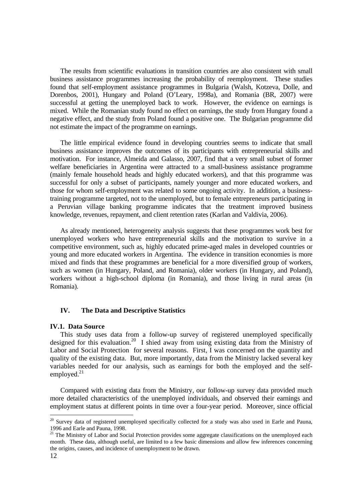The results from scientific evaluations in transition countries are also consistent with small business assistance programmes increasing the probability of reemployment. These studies found that self-employment assistance programmes in Bulgaria (Walsh, Kotzeva, Dolle, and Dorenbos, 2001), Hungary and Poland (O'Leary, 1998a), and Romania (BR, 2007) were successful at getting the unemployed back to work. However, the evidence on earnings is mixed. While the Romanian study found no effect on earnings, the study from Hungary found a negative effect, and the study from Poland found a positive one. The Bulgarian programme did not estimate the impact of the programme on earnings.

 The little empirical evidence found in developing countries seems to indicate that small business assistance improves the outcomes of its participants with entrepreneurial skills and motivation. For instance, Almeida and Galasso, 2007, find that a very small subset of former welfare beneficiaries in Argentina were attracted to a small-business assistance programme (mainly female household heads and highly educated workers), and that this programme was successful for only a subset of participants, namely younger and more educated workers, and those for whom self-employment was related to some ongoing activity. In addition, a businesstraining programme targeted, not to the unemployed, but to female entrepreneurs participating in a Peruvian village banking programme indicates that the treatment improved business knowledge, revenues, repayment, and client retention rates (Karlan and Valdivia, 2006).

 As already mentioned, heterogeneity analysis suggests that these programmes work best for unemployed workers who have entrepreneurial skills and the motivation to survive in a competitive environment, such as, highly educated prime-aged males in developed countries or young and more educated workers in Argentina. The evidence in transition economies is more mixed and finds that these programmes are beneficial for a more diversified group of workers, such as women (in Hungary, Poland, and Romania), older workers (in Hungary, and Poland), workers without a high-school diploma (in Romania), and those living in rural areas (in Romania).

## **IV. The Data and Descriptive Statistics**

#### **IV.1. Data Source**

This study uses data from a follow-up survey of registered unemployed specifically designed for this evaluation.20 I shied away from using existing data from the Ministry of Labor and Social Protection for several reasons. First, I was concerned on the quantity and quality of the existing data. But, more importantly, data from the Ministry lacked several key variables needed for our analysis, such as earnings for both the employed and the selfemployed. $^{21}$ 

Compared with existing data from the Ministry, our follow-up survey data provided much more detailed characteristics of the unemployed individuals, and observed their earnings and employment status at different points in time over a four-year period. Moreover, since official

<sup>&</sup>lt;sup>20</sup> Survey data of registered unemployed specifically collected for a study was also used in Earle and Pauna, 1996 and Earle and Pauna, 1998.

<sup>&</sup>lt;sup>21</sup> The Ministry of Labor and Social Protection provides some aggregate classifications on the unemployed each month. These data, although useful, are limited to a few basic dimensions and allow few inferences concerning the origins, causes, and incidence of unemployment to be drawn.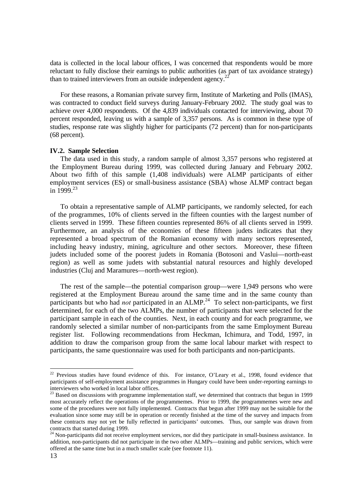data is collected in the local labour offices, I was concerned that respondents would be more reluctant to fully disclose their earnings to public authorities (as part of tax avoidance strategy) than to trained interviewers from an outside independent agency.<sup>22</sup>

For these reasons, a Romanian private survey firm, Institute of Marketing and Polls (IMAS), was contracted to conduct field surveys during January-February 2002. The study goal was to achieve over 4,000 respondents. Of the 4,839 individuals contacted for interviewing, about 70 percent responded, leaving us with a sample of 3,357 persons. As is common in these type of studies, response rate was slightly higher for participants (72 percent) than for non-participants (68 percent).

## **IV.2. Sample Selection**

 The data used in this study, a random sample of almost 3,357 persons who registered at the Employment Bureau during 1999, was collected during January and February 2002. About two fifth of this sample (1,408 individuals) were ALMP participants of either employment services (ES) or small-business assistance (SBA) whose ALMP contract began in  $1999^{23}$ 

 To obtain a representative sample of ALMP participants, we randomly selected, for each of the programmes, 10% of clients served in the fifteen counties with the largest number of clients served in 1999. These fifteen counties represented 86% of all clients served in 1999. Furthermore, an analysis of the economies of these fifteen judets indicates that they represented a broad spectrum of the Romanian economy with many sectors represented, including heavy industry, mining, agriculture and other sectors. Moreover, these fifteen judets included some of the poorest judets in Romania (Botosoni and Vaslui—north-east region) as well as some judets with substantial natural resources and highly developed industries (Cluj and Maramures—north-west region).

 The rest of the sample—the potential comparison group—were 1,949 persons who were registered at the Employment Bureau around the same time and in the same county than participants but who had *not* participated in an ALMP.<sup>24</sup> To select non-participants, we first determined, for each of the two ALMPs, the number of participants that were selected for the participant sample in each of the counties. Next, in each county and for each programme, we randomly selected a similar number of non-participants from the same Employment Bureau register list. Following recommendations from Heckman, Ichimura, and Todd, 1997, in addition to draw the comparison group from the same local labour market with respect to participants, the same questionnaire was used for both participants and non-participants.

 $22$  Previous studies have found evidence of this. For instance, O'Leary et al., 1998, found evidence that participants of self-employment assistance programmes in Hungary could have been under-reporting earnings to interviewers who worked in local labor offices.

<sup>&</sup>lt;sup>23</sup> Based on discussions with programme implementation staff, we determined that contracts that begun in 1999 most accurately reflect the operations of the programmemes. Prior to 1999, the programmemes were new and some of the procedures were not fully implemented. Contracts that begun after 1999 may not be suitable for the evaluation since some may still be in operation or recently finished at the time of the survey and impacts from these contracts may not yet be fully reflected in participants' outcomes. Thus, our sample was drawn from contracts that started during 1999.

 $24$  Non-participants did not receive employment services, nor did they participate in small-business assistance. In addition, non-participants did not participate in the two other ALMPs—training and public services, which were offered at the same time but in a much smaller scale (see footnote 11).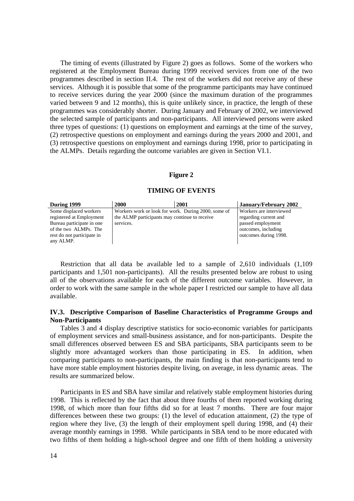The timing of events (illustrated by Figure 2) goes as follows. Some of the workers who registered at the Employment Bureau during 1999 received services from one of the two programmes described in section II.4. The rest of the workers did not receive any of these services. Although it is possible that some of the programme participants may have continued to receive services during the year 2000 (since the maximum duration of the programmes varied between 9 and 12 months), this is quite unlikely since, in practice, the length of these programmes was considerably shorter. During January and February of 2002, we interviewed the selected sample of participants and non-participants. All interviewed persons were asked three types of questions: (1) questions on employment and earnings at the time of the survey, (2) retrospective questions on employment and earnings during the years 2000 and 2001, and (3) retrospective questions on employment and earnings during 1998, prior to participating in the ALMPs. Details regarding the outcome variables are given in Section VI.1.

#### **Figure 2**

#### **TIMING OF EVENTS**

| During 1999                | 2000                                                | 2001 | January/February 2002   |
|----------------------------|-----------------------------------------------------|------|-------------------------|
| Some displaced workers     | Workers work or look for work. During 2000, some of |      | Workers are interviewed |
| registered at Employment   | the ALMP participants may continue to receive       |      | regarding current and   |
| Bureau participate in one  | services.                                           |      | passed employment       |
| of the two ALMPs. The      |                                                     |      | outcomes, including     |
| rest do not participate in |                                                     |      | outcomes during 1998.   |
| any ALMP.                  |                                                     |      |                         |

Restriction that all data be available led to a sample of 2,610 individuals (1,109 participants and 1,501 non-participants). All the results presented below are robust to using all of the observations available for each of the different outcome variables. However, in order to work with the same sample in the whole paper I restricted our sample to have all data available.

## **IV.3. Descriptive Comparison of Baseline Characteristics of Programme Groups and Non-Participants**

Tables 3 and 4 display descriptive statistics for socio-economic variables for participants of employment services and small-business assistance, and for non-participants. Despite the small differences observed between ES and SBA participants, SBA participants seem to be slightly more advantaged workers than those participating in ES. In addition, when comparing participants to non-participants, the main finding is that non-participants tend to have more stable employment histories despite living, on average, in less dynamic areas. The results are summarized below.

Participants in ES and SBA have similar and relatively stable employment histories during 1998. This is reflected by the fact that about three fourths of them reported working during 1998, of which more than four fifths did so for at least 7 months. There are four major differences between these two groups: (1) the level of education attainment, (2) the type of region where they live, (3) the length of their employment spell during 1998, and (4) their average monthly earnings in 1998. While participants in SBA tend to be more educated with two fifths of them holding a high-school degree and one fifth of them holding a university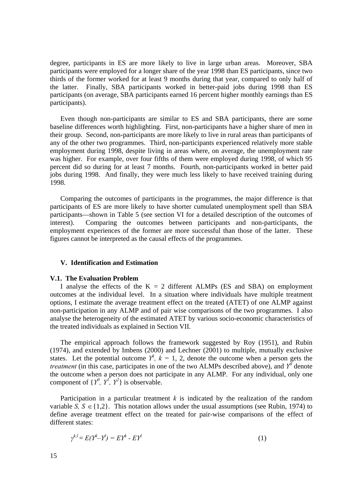degree, participants in ES are more likely to live in large urban areas. Moreover, SBA participants were employed for a longer share of the year 1998 than ES participants, since two thirds of the former worked for at least 9 months during that year, compared to only half of the latter. Finally, SBA participants worked in better-paid jobs during 1998 than ES participants (on average, SBA participants earned 16 percent higher monthly earnings than ES participants).

Even though non-participants are similar to ES and SBA participants, there are some baseline differences worth highlighting. First, non-participants have a higher share of men in their group. Second, non-participants are more likely to live in rural areas than participants of any of the other two programmes. Third, non-participants experienced relatively more stable employment during 1998, despite living in areas where, on average, the unemployment rate was higher. For example, over four fifths of them were employed during 1998, of which 95 percent did so during for at least 7 months. Fourth, non-participants worked in better paid jobs during 1998. And finally, they were much less likely to have received training during 1998.

Comparing the outcomes of participants in the programmes, the major difference is that participants of ES are more likely to have shorter cumulated unemployment spell than SBA participants—shown in Table 5 (see section VI for a detailed description of the outcomes of interest). Comparing the outcomes between participants and non-participants, the employment experiences of the former are more successful than those of the latter. These figures cannot be interpreted as the causal effects of the programmes.

### **V. Identification and Estimation**

#### **V.1. The Evaluation Problem**

I analyse the effects of the  $K = 2$  different ALMPs (ES and SBA) on employment outcomes at the individual level. In a situation where individuals have multiple treatment options, I estimate the average treatment effect on the treated (ATET) of one ALMP against non-participation in any ALMP and of pair wise comparisons of the two programmes. I also analyse the heterogeneity of the estimated ATET by various socio-economic characteristics of the treated individuals as explained in Section VII.

The empirical approach follows the framework suggested by Roy (1951), and Rubin (1974), and extended by Imbens (2000) and Lechner (2001) to multiple, mutually exclusive states. Let the potential outcome  $Y^k$ ,  $k = 1, 2$ , denote the outcome when a person gets the *treatment* (in this case, participates in one of the two ALMPs described above), and  $Y^0$  denote the outcome when a person does not participate in any ALMP. For any individual, only one component of  $\{Y^0, Y^1, Y^2\}$  is observable.

Participation in a particular treatment  $k$  is indicated by the realization of the random variable *S*,  $S \in \{1,2\}$ . This notation allows under the usual assumptions (see Rubin, 1974) to define average treatment effect on the treated for pair-wise comparisons of the effect of different states:

$$
\gamma^{k,l} = E(Y^k - Y^l) = EY^k - EY^l \tag{1}
$$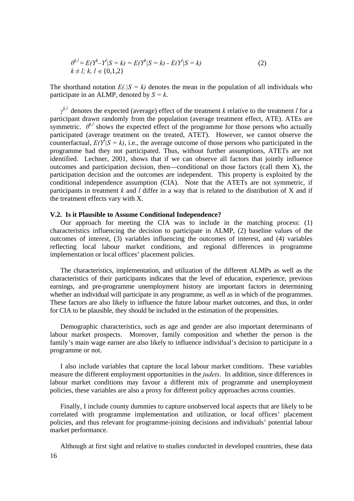$$
\theta^{k,l} = E(Y^k - Y^l | S = k) = E(Y^k | S = k) - E(Y^l | S = k)
$$
  
\n $k \neq l; k, l \in \{0, 1, 2\}$  (2)

The shorthand notation  $E(|S| = k)$  denotes the mean in the population of all individuals who participate in an ALMP, denoted by  $S = k$ .

*γ k,l* denotes the expected (average) effect of the treatment *k* relative to the treatment *l* for a participant drawn randomly from the population (average treatment effect, ATE). ATEs are symmetric.  $\theta^{k,l}$  shows the expected effect of the programme for those persons who actually participated (average treatment on the treated, ATET). However, we cannot observe the counterfactual,  $E(Y^{\bar{I}}|S = k)$ , i.e., the average outcome of those persons who participated in the programme had they not participated. Thus, without further assumptions, ATETs are not identified. Lechner, 2001, shows that if we can observe all factors that jointly influence outcomes and participation decision, then—conditional on those factors (call them X), the participation decision and the outcomes are independent. This property is exploited by the conditional independence assumption (CIA). Note that the ATETs are not symmetric, if participants in treatment *k* and *l* differ in a way that is related to the distribution of X and if the treatment effects vary with X.

#### **V.2. Is it Plausible to Assume Conditional Independence?**

Our approach for meeting the CIA was to include in the matching process: (1) characteristics influencing the decision to participate in ALMP, (2) baseline values of the outcomes of interest, (3) variables influencing the outcomes of interest, and (4) variables reflecting local labour market conditions, and regional differences in programme implementation or local offices' placement policies.

The characteristics, implementation, and utilization of the different ALMPs as well as the characteristics of their participants indicates that the level of education, experience, previous earnings, and pre-programme unemployment history are important factors in determining whether an individual will participate in any programme, as well as in which of the programmes. These factors are also likely to influence the future labour market outcomes, and thus, in order for CIA to be plausible, they should be included in the estimation of the propensities.

Demographic characteristics, such as age and gender are also important determinants of labour market prospects. Moreover, family composition and whether the person is the family's main wage earner are also likely to influence individual's decision to participate in a programme or not.

I also include variables that capture the local labour market conditions. These variables measure the different employment opportunities in the *judets*. In addition, since differences in labour market conditions may favour a different mix of programme and unemployment policies, these variables are also a proxy for different policy approaches across counties.

Finally, I include county dummies to capture unobserved local aspects that are likely to be correlated with programme implementation and utilization, or local offices' placement policies, and thus relevant for programme-joining decisions and individuals' potential labour market performance.

Although at first sight and relative to studies conducted in developed countries, these data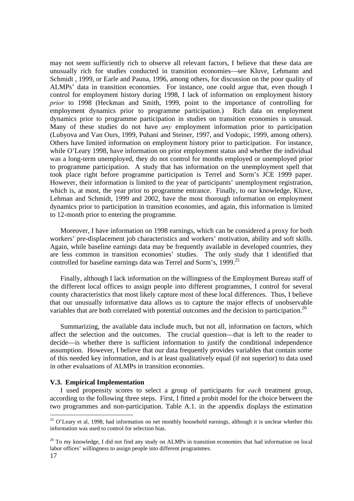may not seem sufficiently rich to observe all relevant factors, I believe that these data are unusually rich for studies conducted in transition economies—see Kluve, Lehmann and Schmidt , 1999, or Earle and Pauna, 1996, among others, for discussion on the poor quality of ALMPs' data in transition economies. For instance, one could argue that, even though I control for employment history during 1998, I lack of information on employment history *prior* to 1998 (Heckman and Smith, 1999, point to the importance of controlling for employment dynamics prior to programme participation.) Rich data on employment dynamics prior to programme participation in studies on transition economies is unusual. Many of these studies do not have *any* employment information prior to participation (Lubyova and Van Ours, 1999, Puhani and Steiner, 1997, and Vodopic, 1999, among others). Others have limited information on employment history prior to participation. For instance, while O'Leary 1998, have information on prior employment status and whether the individual was a long-term unemployed, they do not control for months employed or unemployed prior to programme participation. A study that has information on the unemployment spell that took place right before programme participation is Terrel and Sorm's JCE 1999 paper. However, their information is limited to the year of participants' unemployment registration, which is, at most, the year prior to programme entrance. Finally, to our knowledge, Kluve, Lehman and Schmidt, 1999 and 2002, have the most thorough information on employment dynamics prior to participation in transition economies, and again, this information is limited to 12-month prior to entering the programme.

Moreover, I have information on 1998 earnings, which can be considered a proxy for both workers' pre-displacement job characteristics and workers' motivation, ability and soft skills. Again, while baseline earnings data may be frequently available in developed countries, they are less common in transition economies' studies. The only study that I identified that controlled for baseline earnings data was Terrel and Sorm's, 1999.<sup>25</sup>

Finally, although I lack information on the willingness of the Employment Bureau staff of the different local offices to assign people into different programmes, I control for several county characteristics that most likely capture most of these local differences. Thus, I believe that our unusually informative data allows us to capture the major effects of unobservable variables that are both correlated with potential outcomes and the decision to participation.<sup>26</sup>

Summarizing, the available data include much, but not all, information on factors, which affect the selection and the outcomes. The crucial question—that is left to the reader to decide—is whether there is sufficient information to justify the conditional independence assumption. However, I believe that our data frequently provides variables that contain some of this needed key information, and is at least qualitatively equal (if not superior) to data used in other evaluations of ALMPs in transition economies.

#### **V.3. Empirical Implementation**

I used propensity scores to select a group of participants for *each* treatment group, according to the following three steps. First, I fitted a probit model for the choice between the two programmes and non-participation. Table A.1. in the appendix displays the estimation

<sup>&</sup>lt;sup>25</sup> O'Leary et al, 1998, had information on net monthly household earnings, although it is unclear whether this information was used to control for selection bias.

<sup>&</sup>lt;sup>26</sup> To my knowledge. I did not find any study on ALMPs in transition economies that had information on local labor offices' willingness to assign people into different programmes.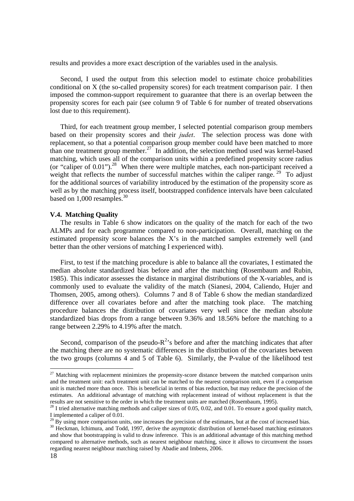results and provides a more exact description of the variables used in the analysis.

Second, I used the output from this selection model to estimate choice probabilities conditional on X (the so-called propensity scores) for each treatment comparison pair. I then imposed the common-support requirement to guarantee that there is an overlap between the propensity scores for each pair (see column 9 of Table 6 for number of treated observations lost due to this requirement).

Third, for each treatment group member, I selected potential comparison group members based on their propensity scores and their *judet*. The selection process was done with replacement, so that a potential comparison group member could have been matched to more than one treatment group member.27 In addition, the selection method used was kernel-based matching, which uses all of the comparison units within a predefined propensity score radius (or "caliper of  $0.01$ ").<sup>28</sup> When there were multiple matches, each non-participant received a weight that reflects the number of successful matches within the caliper range.<sup>29</sup> To adjust for the additional sources of variability introduced by the estimation of the propensity score as well as by the matching process itself, bootstrapped confidence intervals have been calculated based on 1,000 resamples.30

#### **V.4. Matching Quality**

The results in Table 6 show indicators on the quality of the match for each of the two ALMPs and for each programme compared to non-participation. Overall, matching on the estimated propensity score balances the X's in the matched samples extremely well (and better than the other versions of matching I experienced with).

 First, to test if the matching procedure is able to balance all the covariates, I estimated the median absolute standardized bias before and after the matching (Rosembaum and Rubin, 1985). This indicator assesses the distance in marginal distributions of the X-variables, and is commonly used to evaluate the validity of the match (Sianesi, 2004, Caliendo, Hujer and Thomsen, 2005, among others). Columns 7 and 8 of Table 6 show the median standardized difference over all covariates before and after the matching took place. The matching procedure balances the distribution of covariates very well since the median absolute standardized bias drops from a range between 9.36% and 18.56% before the matching to a range between 2.29% to 4.19% after the match.

Second, comparison of the pseudo- $R^2$ 's before and after the matching indicates that after the matching there are no systematic differences in the distribution of the covariates between the two groups (columns 4 and 5 of Table 6). Similarly, the P-value of the likelihood test

 $27$  Matching with replacement minimizes the propensity-score distance between the matched comparison units and the treatment unit: each treatment unit can be matched to the nearest comparison unit, even if a comparison unit is matched more than once. This is beneficial in terms of bias reduction, but may reduce the precision of the estimates. An additional advantage of matching with replacement instead of without replacement is that the results are not sensitive to the order in which the treatment units are matched (Rosembaum, 1995).

 $^{28}$  I tried alternative matching methods and caliper sizes of 0.05, 0.02, and 0.01. To ensure a good quality match, I implemented a caliper of 0.01.

 $29$  By using more comparison units, one increases the precision of the estimates, but at the cost of increased bias.

<sup>&</sup>lt;sup>30</sup> Heckman, Ichimura, and Todd, 1997, derive the asymptotic distribution of kernel-based matching estimators and show that bootstrapping is valid to draw inference. This is an additional advantage of this matching method compared to alternative methods, such as nearest neighbour matching, since it allows to circumvent the issues regarding nearest neighbour matching raised by Abadie and Imbens, 2006.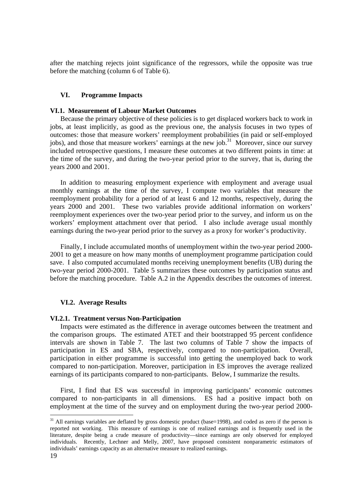after the matching rejects joint significance of the regressors, while the opposite was true before the matching (column 6 of Table 6).

## **VI. Programme Impacts**

#### **VI.1. Measurement of Labour Market Outcomes**

Because the primary objective of these policies is to get displaced workers back to work in jobs, at least implicitly, as good as the previous one, the analysis focuses in two types of outcomes: those that measure workers' reemployment probabilities (in paid or self-employed jobs), and those that measure workers' earnings at the new job.<sup>31</sup> Moreover, since our survey included retrospective questions, I measure these outcomes at two different points in time: at the time of the survey, and during the two-year period prior to the survey, that is, during the years 2000 and 2001.

In addition to measuring employment experience with employment and average usual monthly earnings at the time of the survey, I compute two variables that measure the reemployment probability for a period of at least 6 and 12 months, respectively, during the years 2000 and 2001. These two variables provide additional information on workers' reemployment experiences over the two-year period prior to the survey, and inform us on the workers' employment attachment over that period. I also include average usual monthly earnings during the two-year period prior to the survey as a proxy for worker's productivity.

Finally, I include accumulated months of unemployment within the two-year period 2000- 2001 to get a measure on how many months of unemployment programme participation could save. I also computed accumulated months receiving unemployment benefits (UB) during the two-year period 2000-2001. Table 5 summarizes these outcomes by participation status and before the matching procedure. Table A.2 in the Appendix describes the outcomes of interest.

## **VI.2. Average Results**

#### **VI.2.1. Treatment versus Non-Participation**

 Impacts were estimated as the difference in average outcomes between the treatment and the comparison groups. The estimated ATET and their bootstrapped 95 percent confidence intervals are shown in Table 7. The last two columns of Table 7 show the impacts of participation in ES and SBA, respectively, compared to non-participation. Overall, participation in either programme is successful into getting the unemployed back to work compared to non-participation. Moreover, participation in ES improves the average realized earnings of its participants compared to non-participants. Below, I summarize the results.

 First, I find that ES was successful in improving participants' economic outcomes compared to non-participants in all dimensions. ES had a positive impact both on employment at the time of the survey and on employment during the two-year period 2000-

<sup>&</sup>lt;sup>31</sup> All earnings variables are deflated by gross domestic product (base=1998), and coded as zero if the person is reported not working. This measure of earnings is one of realized earnings and is frequently used in the literature, despite being a crude measure of productivity—since earnings are only observed for employed individuals. Recently, Lechner and Melly, 2007, have proposed consistent nonparametric estimators of individuals' earnings capacity as an alternative measure to realized earnings.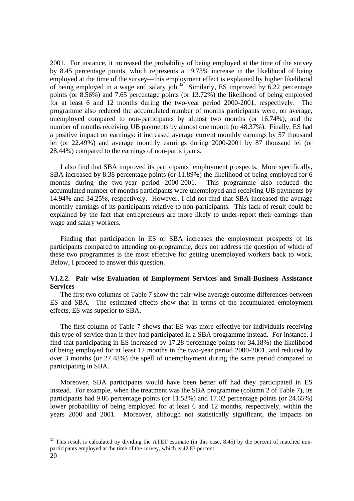2001. For instance, it increased the probability of being employed at the time of the survey by 8.45 percentage points, which represents a 19.73% increase in the likelihood of being employed at the time of the survey—this employment effect is explained by higher likelihood of being employed in a wage and salary job.<sup>32</sup> Similarly, ES improved by 6.22 percentage points (or 8.56%) and 7.65 percentage points (or 13.72%) the likelihood of being employed for at least 6 and 12 months during the two-year period 2000-2001, respectively. The programme also reduced the accumulated number of months participants were, on average, unemployed compared to non-participants by almost two months (or 16.74%), and the number of months receiving UB payments by almost one month (or 48.37%). Finally, ES had a positive impact on earnings: it increased average current monthly earnings by 57 thousand lei (or 22.49%) and average monthly earnings during 2000-2001 by 87 thousand lei (or 28.44%) compared to the earnings of non-participants.

 I also find that SBA improved its participants' employment prospects. More specifically, SBA increased by 8.38 percentage points (or 11.89%) the likelihood of being employed for 6 months during the two-year period 2000-2001. This programme also reduced the accumulated number of months participants were unemployed and receiving UB payments by 14.94% and 34.25%, respectively. However, I did not find that SBA increased the average monthly earnings of its participants relative to non-participants. This lack of result could be explained by the fact that entrepreneurs are more likely to under-report their earnings than wage and salary workers.

 Finding that participation in ES or SBA increases the employment prospects of its participants compared to attending no-programme, does not address the question of which of these two programmes is the most effective for getting unemployed workers back to work. Below, I proceed to answer this question.

## **VI.2.2. Pair wise Evaluation of Employment Services and Small-Business Assistance Services**

 The first two columns of Table 7 show the pair-wise average outcome differences between ES and SBA. The estimated effects show that in terms of the accumulated employment effects, ES was superior to SBA.

 The first column of Table 7 shows that ES was more effective for individuals receiving this type of service than if they had participated in a SBA programme instead. For instance, I find that participating in ES increased by 17.28 percentage points (or 34.18%) the likelihood of being employed for at least 12 months in the two-year period 2000-2001, and reduced by over 3 months (or 27.48%) the spell of unemployment during the same period compared to participating in SBA.

 Moreover, SBA participants would have been better off had they participated in ES instead. For example, when the treatment was the SBA programme (column 2 of Table 7), its participants had 9.86 percentage points (or 11.53%) and 17.02 percentage points (or 24.65%) lower probability of being employed for at least 6 and 12 months, respectively, within the years 2000 and 2001. Moreover, although not statistically significant, the impacts on

 $32$  This result is calculated by dividing the ATET estimate (in this case, 8.45) by the percent of matched nonparticipants employed at the time of the survey, which is 42.83 percent.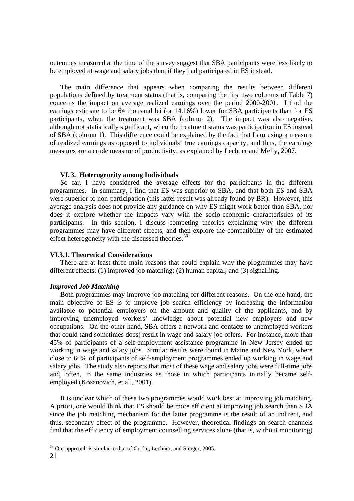outcomes measured at the time of the survey suggest that SBA participants were less likely to be employed at wage and salary jobs than if they had participated in ES instead.

 The main difference that appears when comparing the results between different populations defined by treatment status (that is, comparing the first two columns of Table 7) concerns the impact on average realized earnings over the period 2000-2001. I find the earnings estimate to be 64 thousand lei (or 14.16%) lower for SBA participants than for ES participants, when the treatment was SBA (column 2). The impact was also negative, although not statistically significant, when the treatment status was participation in ES instead of SBA (column 1). This difference could be explained by the fact that I am using a measure of realized earnings as opposed to individuals' true earnings capacity, and thus, the earnings measures are a crude measure of productivity, as explained by Lechner and Melly, 2007.

## **VI. 3. Heterogeneity among Individuals**

 So far, I have considered the average effects for the participants in the different programmes. In summary, I find that ES was superior to SBA, and that both ES and SBA were superior to non-participation (this latter result was already found by BR). However, this average analysis does not provide any guidance on why ES might work better than SBA, nor does it explore whether the impacts vary with the socio-economic characteristics of its participants. In this section, I discuss competing theories explaining why the different programmes may have different effects, and then explore the compatibility of the estimated effect heterogeneity with the discussed theories.<sup>33</sup>

#### **VI.3.1. Theoretical Considerations**

 There are at least three main reasons that could explain why the programmes may have different effects: (1) improved job matching; (2) human capital; and (3) signalling.

## *Improved Job Matching*

 Both programmes may improve job matching for different reasons. On the one hand, the main objective of ES is to improve job search efficiency by increasing the information available to potential employers on the amount and quality of the applicants, and by improving unemployed workers' knowledge about potential new employers and new occupations. On the other hand, SBA offers a network and contacts to unemployed workers that could (and sometimes does) result in wage and salary job offers. For instance, more than 45% of participants of a self-employment assistance programme in New Jersey ended up working in wage and salary jobs. Similar results were found in Maine and New York, where close to 60% of participants of self-employment programmes ended up working in wage and salary jobs. The study also reports that most of these wage and salary jobs were full-time jobs and, often, in the same industries as those in which participants initially became selfemployed (Kosanovich, et al., 2001).

 It is unclear which of these two programmes would work best at improving job matching. A priori, one would think that ES should be more efficient at improving job search then SBA since the job matching mechanism for the latter programme is the result of an indirect, and thus, secondary effect of the programme. However, theoretical findings on search channels find that the efficiency of employment counselling services alone (that is, without monitoring)

 $33$  Our approach is similar to that of Gerfin, Lechner, and Steiger, 2005.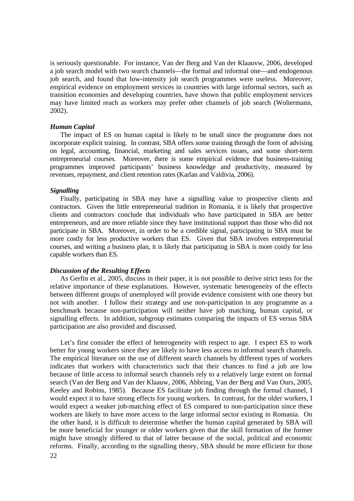is seriously questionable. For instance, Van der Berg and Van der Klaauvw, 2006, developed a job search model with two search channels—the formal and informal one—and endogenous job search, and found that low-intensity job search programmes were useless. Moreover, empirical evidence on employment services in countries with large informal sectors, such as transition economies and developing countries, have shown that public employment services may have limited reach as workers may prefer other channels of job search (Woltermann, 2002).

#### *Human Capital*

 The impact of ES on human capital is likely to be small since the programme does not incorporate explicit training. In contrast, SBA offers some training through the form of advising on legal, accounting, financial, marketing and sales services issues, and some short-term entrepreneurial courses. Moreover, there is some empirical evidence that business-training programmes improved participants' business knowledge and productivity, measured by revenues, repayment, and client retention rates (Karlan and Valdivia, 2006).

#### *Signalling*

 Finally, participating in SBA may have a signalling value to prospective clients and contractors. Given the little entrepreneurial tradition in Romania, it is likely that prospective clients and contractors conclude that individuals who have participated in SBA are better entrepreneurs, and are more reliable since they have institutional support than those who did not participate in SBA. Moreover, in order to be a credible signal, participating in SBA must be more costly for less productive workers than ES. Given that SBA involves entrepreneurial courses, and writing a business plan, it is likely that participating in SBA is more costly for less capable workers than ES.

### *Discussion of the Resulting Effects*

 As Gerfin et al., 2005, discuss in their paper, it is not possible to derive strict tests for the relative importance of these explanations. However, systematic heterogeneity of the effects between different groups of unemployed will provide evidence consistent with one theory but not with another. I follow their strategy and use non-participation in any programme as a benchmark because non-participation will neither have job matching, human capital, or signalling effects. In addition, subgroup estimates comparing the impacts of ES versus SBA participation are also provided and discussed.

Let's first consider the effect of heterogeneity with respect to age. I expect ES to work better for young workers since they are likely to have less access to informal search channels. The empirical literature on the use of different search channels by different types of workers indicates that workers with characteristics such that their chances to find a job are low because of little access to informal search channels rely to a relatively large extent on formal search (Van der Berg and Van der Klaauw, 2006, Abbring, Van der Berg and Van Ours, 2005, Keeley and Robins, 1985). Because ES facilitate job finding through the formal channel, I would expect it to have strong effects for young workers. In contrast, for the older workers, I would expect a weaker job-matching effect of ES compared to non-participation since these workers are likely to have more access to the large informal sector existing in Romania. On the other hand, it is difficult to determine whether the human capital generated by SBA will be more beneficial for younger or older workers given that the skill formation of the former might have strongly differed to that of latter because of the social, political and economic reforms. Finally, according to the signalling theory, SBA should be more efficient for those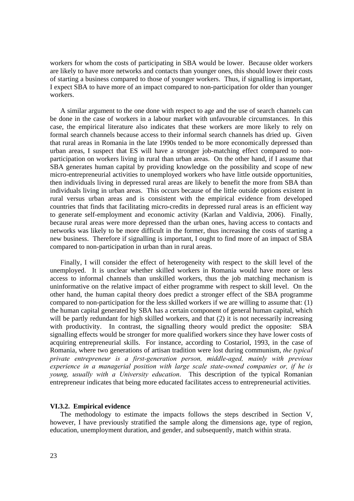workers for whom the costs of participating in SBA would be lower. Because older workers are likely to have more networks and contacts than younger ones, this should lower their costs of starting a business compared to those of younger workers. Thus, if signalling is important, I expect SBA to have more of an impact compared to non-participation for older than younger workers.

 A similar argument to the one done with respect to age and the use of search channels can be done in the case of workers in a labour market with unfavourable circumstances. In this case, the empirical literature also indicates that these workers are more likely to rely on formal search channels because access to their informal search channels has dried up. Given that rural areas in Romania in the late 1990s tended to be more economically depressed than urban areas, I suspect that ES will have a stronger job-matching effect compared to nonparticipation on workers living in rural than urban areas. On the other hand, if I assume that SBA generates human capital by providing knowledge on the possibility and scope of new micro-entrepreneurial activities to unemployed workers who have little outside opportunities, then individuals living in depressed rural areas are likely to benefit the more from SBA than individuals living in urban areas. This occurs because of the little outside options existent in rural versus urban areas and is consistent with the empirical evidence from developed countries that finds that facilitating micro-credits in depressed rural areas is an efficient way to generate self-employment and economic activity (Karlan and Valdivia, 2006). Finally, because rural areas were more depressed than the urban ones, having access to contacts and networks was likely to be more difficult in the former, thus increasing the costs of starting a new business. Therefore if signalling is important, I ought to find more of an impact of SBA compared to non-participation in urban than in rural areas.

 Finally, I will consider the effect of heterogeneity with respect to the skill level of the unemployed. It is unclear whether skilled workers in Romania would have more or less access to informal channels than unskilled workers, thus the job matching mechanism is uninformative on the relative impact of either programme with respect to skill level. On the other hand, the human capital theory does predict a stronger effect of the SBA programme compared to non-participation for the less skilled workers if we are willing to assume that: (1) the human capital generated by SBA has a certain component of general human capital, which will be partly redundant for high skilled workers, and that (2) it is not necessarily increasing with productivity. In contrast, the signalling theory would predict the opposite: SBA signalling effects would be stronger for more qualified workers since they have lower costs of acquiring entrepreneurial skills. For instance, according to Costariol, 1993, in the case of Romania, where two generations of artisan tradition were lost during communism, *the typical private entrepreneur is a first-generation person, middle-aged, mainly with previous experience in a managerial position with large scale state-owned companies or, if he is young, usually with a University education*. This description of the typical Romanian entrepreneur indicates that being more educated facilitates access to entrepreneurial activities.

## **VI.3.2. Empirical evidence**

 The methodology to estimate the impacts follows the steps described in Section V, however, I have previously stratified the sample along the dimensions age, type of region, education, unemployment duration, and gender, and subsequently, match within strata.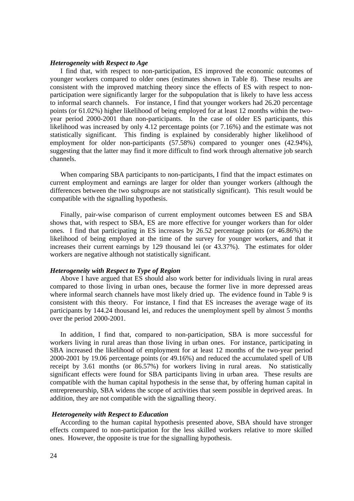#### *Heterogeneity with Respect to Age*

 I find that, with respect to non-participation, ES improved the economic outcomes of younger workers compared to older ones (estimates shown in Table 8). These results are consistent with the improved matching theory since the effects of ES with respect to nonparticipation were significantly larger for the subpopulation that is likely to have less access to informal search channels. For instance, I find that younger workers had 26.20 percentage points (or 61.02%) higher likelihood of being employed for at least 12 months within the twoyear period 2000-2001 than non-participants. In the case of older ES participants, this likelihood was increased by only 4.12 percentage points (or 7.16%) and the estimate was not statistically significant. This finding is explained by considerably higher likelihood of employment for older non-participants (57.58%) compared to younger ones (42.94%), suggesting that the latter may find it more difficult to find work through alternative job search channels.

 When comparing SBA participants to non-participants, I find that the impact estimates on current employment and earnings are larger for older than younger workers (although the differences between the two subgroups are not statistically significant). This result would be compatible with the signalling hypothesis.

 Finally, pair-wise comparison of current employment outcomes between ES and SBA shows that, with respect to SBA, ES are more effective for younger workers than for older ones. I find that participating in ES increases by 26.52 percentage points (or 46.86%) the likelihood of being employed at the time of the survey for younger workers, and that it increases their current earnings by 129 thousand lei (or 43.37%). The estimates for older workers are negative although not statistically significant.

### *Heterogeneity with Respect to Type of Region*

 Above I have argued that ES should also work better for individuals living in rural areas compared to those living in urban ones, because the former live in more depressed areas where informal search channels have most likely dried up. The evidence found in Table 9 is consistent with this theory. For instance, I find that ES increases the average wage of its participants by 144.24 thousand lei, and reduces the unemployment spell by almost 5 months over the period 2000-2001.

In addition, I find that, compared to non-participation, SBA is more successful for workers living in rural areas than those living in urban ones. For instance, participating in SBA increased the likelihood of employment for at least 12 months of the two-year period 2000-2001 by 19.06 percentage points (or 49.16%) and reduced the accumulated spell of UB receipt by 3.61 months (or 86.57%) for workers living in rural areas. No statistically significant effects were found for SBA participants living in urban area. These results are compatible with the human capital hypothesis in the sense that, by offering human capital in entrepreneurship, SBA widens the scope of activities that seem possible in deprived areas. In addition, they are not compatible with the signalling theory.

### *Heterogeneity with Respect to Education*

According to the human capital hypothesis presented above, SBA should have stronger effects compared to non-participation for the less skilled workers relative to more skilled ones. However, the opposite is true for the signalling hypothesis.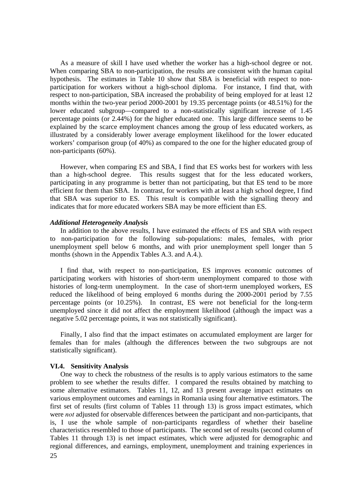As a measure of skill I have used whether the worker has a high-school degree or not. When comparing SBA to non-participation, the results are consistent with the human capital hypothesis. The estimates in Table 10 show that SBA is beneficial with respect to nonparticipation for workers without a high-school diploma. For instance, I find that, with respect to non-participation, SBA increased the probability of being employed for at least 12 months within the two-year period 2000-2001 by 19.35 percentage points (or 48.51%) for the lower educated subgroup—compared to a non-statistically significant increase of 1.45 percentage points (or 2.44%) for the higher educated one. This large difference seems to be explained by the scarce employment chances among the group of less educated workers, as illustrated by a considerably lower average employment likelihood for the lower educated workers' comparison group (of 40%) as compared to the one for the higher educated group of non-participants (60%).

However, when comparing ES and SBA, I find that ES works best for workers with less than a high-school degree. This results suggest that for the less educated workers, participating in any programme is better than not participating, but that ES tend to be more efficient for them than SBA. In contrast, for workers with at least a high school degree, I find that SBA was superior to ES. This result is compatible with the signalling theory and indicates that for more educated workers SBA may be more efficient than ES.

#### *Additional Heterogeneity Analysis*

 In addition to the above results, I have estimated the effects of ES and SBA with respect to non-participation for the following sub-populations: males, females, with prior unemployment spell below 6 months, and with prior unemployment spell longer than 5 months (shown in the Appendix Tables A.3. and A.4.).

 I find that, with respect to non-participation, ES improves economic outcomes of participating workers with histories of short-term unemployment compared to those with histories of long-term unemployment. In the case of short-term unemployed workers, ES reduced the likelihood of being employed 6 months during the 2000-2001 period by 7.55 percentage points (or 10.25%). In contrast, ES were not beneficial for the long-term unemployed since it did not affect the employment likelihood (although the impact was a negative 5.02 percentage points, it was not statistically significant).

 Finally, I also find that the impact estimates on accumulated employment are larger for females than for males (although the differences between the two subgroups are not statistically significant).

#### **VI.4. Sensitivity Analysis**

 25 One way to check the robustness of the results is to apply various estimators to the same problem to see whether the results differ. I compared the results obtained by matching to some alternative estimators. Tables 11, 12, and 13 present average impact estimates on various employment outcomes and earnings in Romania using four alternative estimators. The first set of results (first column of Tables 11 through 13) is gross impact estimates, which were *not* adjusted for observable differences between the participant and non-participants, that is, I use the whole sample of non-participants regardless of whether their baseline characteristics resembled to those of participants. The second set of results (second column of Tables 11 through 13) is net impact estimates, which were adjusted for demographic and regional differences, and earnings, employment, unemployment and training experiences in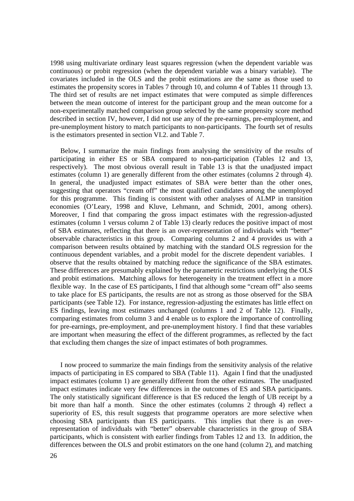1998 using multivariate ordinary least squares regression (when the dependent variable was continuous) or probit regression (when the dependent variable was a binary variable). The covariates included in the OLS and the probit estimations are the same as those used to estimates the propensity scores in Tables 7 through 10, and column 4 of Tables 11 through 13. The third set of results are net impact estimates that were computed as simple differences between the mean outcome of interest for the participant group and the mean outcome for a non-experimentally matched comparison group selected by the same propensity score method described in section IV, however, I did not use any of the pre-earnings, pre-employment, and pre-unemployment history to match participants to non-participants. The fourth set of results is the estimators presented in section VI.2. and Table 7.

 Below, I summarize the main findings from analysing the sensitivity of the results of participating in either ES or SBA compared to non-participation (Tables 12 and 13, respectively). The most obvious overall result in Table 13 is that the unadjusted impact estimates (column 1) are generally different from the other estimates (columns 2 through 4). In general, the unadjusted impact estimates of SBA were better than the other ones, suggesting that operators "cream off" the most qualified candidates among the unemployed for this programme. This finding is consistent with other analyses of ALMP in transition economies (O'Leary, 1998 and Kluve, Lehmann, and Schmidt, 2001, among others). Moreover, I find that comparing the gross impact estimates with the regression-adjusted estimates (column 1 versus column 2 of Table 13) clearly reduces the positive impact of most of SBA estimates, reflecting that there is an over-representation of individuals with "better" observable characteristics in this group. Comparing columns 2 and 4 provides us with a comparison between results obtained by matching with the standard OLS regression for the continuous dependent variables, and a probit model for the discrete dependent variables. I observe that the results obtained by matching reduce the significance of the SBA estimates. These differences are presumably explained by the parametric restrictions underlying the OLS and probit estimations. Matching allows for heterogeneity in the treatment effect in a more flexible way. In the case of ES participants, I find that although some "cream off" also seems to take place for ES participants, the results are not as strong as those observed for the SBA participants (see Table 12). For instance, regression-adjusting the estimates has little effect on ES findings, leaving most estimates unchanged (columns 1 and 2 of Table 12). Finally, comparing estimates from column 3 and 4 enable us to explore the importance of controlling for pre-earnings, pre-employment, and pre-unemployment history. I find that these variables are important when measuring the effect of the different programmes, as reflected by the fact that excluding them changes the size of impact estimates of both programmes.

 I now proceed to summarize the main findings from the sensitivity analysis of the relative impacts of participating in ES compared to SBA (Table 11). Again I find that the unadjusted impact estimates (column 1) are generally different from the other estimates. The unadjusted impact estimates indicate very few differences in the outcomes of ES and SBA participants. The only statistically significant difference is that ES reduced the length of UB receipt by a bit more than half a month. Since the other estimates (columns 2 through 4) reflect a superiority of ES, this result suggests that programme operators are more selective when choosing SBA participants than ES participants. This implies that there is an overrepresentation of individuals with "better" observable characteristics in the group of SBA participants, which is consistent with earlier findings from Tables 12 and 13. In addition, the differences between the OLS and probit estimators on the one hand (column 2), and matching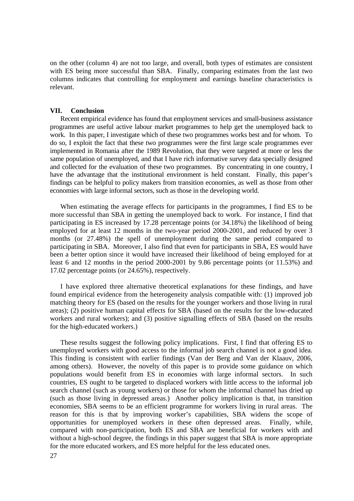on the other (column 4) are not too large, and overall, both types of estimates are consistent with ES being more successful than SBA. Finally, comparing estimates from the last two columns indicates that controlling for employment and earnings baseline characteristics is relevant.

#### **VII. Conclusion**

Recent empirical evidence has found that employment services and small-business assistance programmes are useful active labour market programmes to help get the unemployed back to work. In this paper, I investigate which of these two programmes works best and for whom. To do so, I exploit the fact that these two programmes were the first large scale programmes ever implemented in Romania after the 1989 Revolution, that they were targeted at more or less the same population of unemployed, and that I have rich informative survey data specially designed and collected for the evaluation of these two programmes. By concentrating in one country, I have the advantage that the institutional environment is held constant. Finally, this paper's findings can be helpful to policy makers from transition economies, as well as those from other economies with large informal sectors, such as those in the developing world.

 When estimating the average effects for participants in the programmes, I find ES to be more successful than SBA in getting the unemployed back to work. For instance, I find that participating in ES increased by 17.28 percentage points (or 34.18%) the likelihood of being employed for at least 12 months in the two-year period 2000-2001, and reduced by over 3 months (or 27.48%) the spell of unemployment during the same period compared to participating in SBA. Moreover, I also find that even for participants in SBA, ES would have been a better option since it would have increased their likelihood of being employed for at least 6 and 12 months in the period 2000-2001 by 9.86 percentage points (or 11.53%) and 17.02 percentage points (or 24.65%), respectively.

 I have explored three alternative theoretical explanations for these findings, and have found empirical evidence from the heterogeneity analysis compatible with: (1) improved job matching theory for ES (based on the results for the younger workers and those living in rural areas); (2) positive human capital effects for SBA (based on the results for the low-educated workers and rural workers); and (3) positive signalling effects of SBA (based on the results for the high-educated workers.)

 These results suggest the following policy implications. First, I find that offering ES to unemployed workers with good access to the informal job search channel is not a good idea. This finding is consistent with earlier findings (Van der Berg and Van der Klaauv, 2006, among others). However, the novelty of this paper is to provide some guidance on which populations would benefit from ES in economies with large informal sectors. In such countries, ES ought to be targeted to displaced workers with little access to the informal job search channel (such as young workers) or those for whom the informal channel has dried up (such as those living in depressed areas.) Another policy implication is that, in transition economies, SBA seems to be an efficient programme for workers living in rural areas. The reason for this is that by improving worker's capabilities, SBA widens the scope of opportunities for unemployed workers in these often depressed areas. Finally, while, compared with non-participation, both ES and SBA are beneficial for workers with and without a high-school degree, the findings in this paper suggest that SBA is more appropriate for the more educated workers, and ES more helpful for the less educated ones.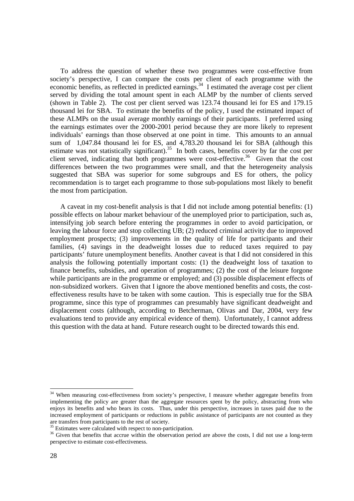To address the question of whether these two programmes were cost-effective from society's perspective, I can compare the costs per client of each programme with the economic benefits, as reflected in predicted earnings.<sup>34</sup> I estimated the average cost per client served by dividing the total amount spent in each ALMP by the number of clients served (shown in Table 2). The cost per client served was 123.74 thousand lei for ES and 179.15 thousand lei for SBA. To estimate the benefits of the policy, I used the estimated impact of these ALMPs on the usual average monthly earnings of their participants. I preferred using the earnings estimates over the 2000-2001 period because they are more likely to represent individuals' earnings than those observed at one point in time. This amounts to an annual sum of 1,047.84 thousand lei for ES, and 4,783.20 thousand lei for SBA (although this estimate was not statistically significant).<sup>35</sup> In both cases, benefits cover by far the cost per client served, indicating that both programmes were cost-effective.<sup>36</sup> Given that the cost differences between the two programmes were small, and that the heterogeneity analysis suggested that SBA was superior for some subgroups and ES for others, the policy recommendation is to target each programme to those sub-populations most likely to benefit the most from participation.

A caveat in my cost-benefit analysis is that I did not include among potential benefits: (1) possible effects on labour market behaviour of the unemployed prior to participation, such as, intensifying job search before entering the programmes in order to avoid participation, or leaving the labour force and stop collecting UB; (2) reduced criminal activity due to improved employment prospects; (3) improvements in the quality of life for participants and their families, (4) savings in the deadweight losses due to reduced taxes required to pay participants' future unemployment benefits. Another caveat is that I did not considered in this analysis the following potentially important costs: (1) the deadweight loss of taxation to finance benefits, subsidies, and operation of programmes; (2) the cost of the leisure forgone while participants are in the programme or employed; and (3) possible displacement effects of non-subsidized workers. Given that I ignore the above mentioned benefits and costs, the costeffectiveness results have to be taken with some caution. This is especially true for the SBA programme, since this type of programmes can presumably have significant deadweight and displacement costs (although, according to Betcherman, Olivas and Dar, 2004, very few evaluations tend to provide any empirical evidence of them). Unfortunately, I cannot address this question with the data at hand. Future research ought to be directed towards this end.

 $\overline{a}$ 

<sup>&</sup>lt;sup>34</sup> When measuring cost-effectiveness from society's perspective, I measure whether aggregate benefits from implementing the policy are greater than the aggregate resources spent by the policy, abstracting from who enjoys its benefits and who bears its costs. Thus, under this perspective, increases in taxes paid due to the increased employment of participants or reductions in public assistance of participants are not counted as they are transfers from participants to the rest of society.

<sup>&</sup>lt;sup>35</sup> Estimates were calculated with respect to non-participation.

<sup>&</sup>lt;sup>36</sup> Given that benefits that accrue within the observation period are above the costs, I did not use a long-term perspective to estimate cost-effectiveness.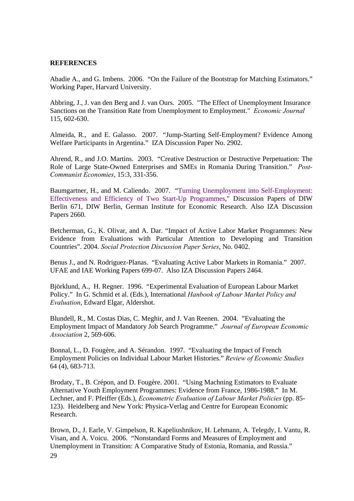## **REFERENCES**

Abadie A., and G. Imbens. 2006. "On the Failure of the Bootstrap for Matching Estimators." Working Paper, Harvard University.

Abbring, J., J. van den Berg and J. van Ours. 2005. "The Effect of Unemployment Insurance Sanctions on the Transition Rate from Unemployment to Employment." *Economic Journal*  115, 602-630.

Almeida, R., and E. Galasso. 2007. "Jump-Starting Self-Employment? Evidence Among Welfare Participants in Argentina." IZA Discussion Paper No. 2902.

Ahrend, R., and J.O. Martins. 2003. "Creative Destruction or Destructive Perpetuation: The Role of Large State-Owned Enterprises and SMEs in Romania During Transition." *Post-Communist Economies*, 15:3, 331-356.

Baumgartner, H., and M. Caliendo. 2007. "Turning Unemployment into Self-Employment: Effectiveness and Efficiency of Two Start-Up Programmes," Discussion Papers of DIW Berlin 671, DIW Berlin, German Institute for Economic Research. Also IZA Discussion Papers 2660.

Betcherman, G., K. Olivar, and A. Dar. "Impact of Active Labor Market Programmes: New Evidence from Evaluations with Particular Attention to Developing and Transition Countries". 2004. *Social Protection Discussion Paper Series*, No. 0402.

Benus J., and N. Rodriguez-Planas. "Evaluating Active Labor Markets in Romania." 2007. UFAE and IAE Working Papers 699-07. Also IZA Discussion Papers 2464.

Björklund, A., H. Regner. 1996. "Experimental Evaluation of European Labour Market Policy." In G. Schmid et al. (Eds.), International *Hanbook of Labour Market Policy and Evaluation*, Edward Elgar, Aldershot.

Blundell, R., M. Costas Dias, C. Meghir, and J. Van Reenen. 2004. "Evaluating the Employment Impact of Mandatory Job Search Programme." *Journal of European Economic Association* 2, 569-606.

Bonnal, L., D. Fougère, and A. Sérandon. 1997. "Evaluating the Impact of French Employment Policies on Individual Labour Market Histories." *Review of Economic Studies* 64 (4), 683-713.

Brodaty, T., B. Crépon, and D. Fougère. 2001. "Using Machning Estimators to Evaluate Alternative Youth Employment Programmes: Evidence from France, 1986-1988." In M. Lechner, and F. Pfeiffer (Eds.), *Econometric Evaluation of Labour Market Policies* (pp. 85- 123). Heidelberg and New York: Physica-Verlag and Centre for European Economic Research.

 29 Brown, D., J. Earle, V. Gimpelson, R. Kapeliushnikov, H. Lehmann, A. Telegdy, I. Vantu, R. Visan, and A. Voicu. 2006. "Nonstandard Forms and Measures of Employment and Unemployment in Transition: A Comparative Study of Estonia, Romania, and Russia."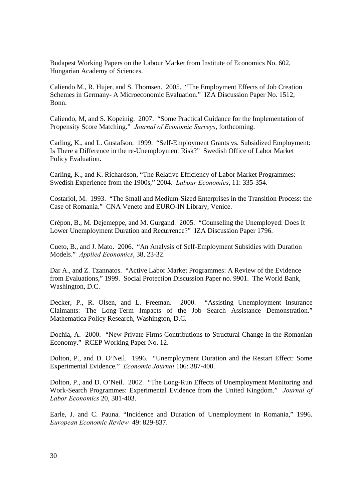Budapest Working Papers on the Labour Market from Institute of Economics No. 602, Hungarian Academy of Sciences.

Caliendo M., R. Hujer, and S. Thomsen. 2005. "The Employment Effects of Job Creation Schemes in Germany- A Microeconomic Evaluation." IZA Discussion Paper No. 1512, Bonn.

Caliendo, M, and S. Kopeinig. 2007. "Some Practical Guidance for the Implementation of Propensity Score Matching." *Journal of Economic Surveys*, forthcoming.

Carling, K., and L. Gustafson. 1999. "Self-Employment Grants vs. Subsidized Employment: Is There a Difference in the re-Unemployment Risk?" Swedish Office of Labor Market Policy Evaluation.

Carling, K., and K. Richardson, "The Relative Efficiency of Labor Market Programmes: Swedish Experience from the 1900s," 2004*. Labour Economics*, 11: 335-354.

Costariol, M. 1993. "The Small and Medium-Sized Enterprises in the Transition Process: the Case of Romania." CNA Veneto and EURO-IN Library, Venice.

Crépon, B., M. Dejemeppe, and M. Gurgand. 2005. "Counseling the Unemployed: Does It Lower Unemployment Duration and Recurrence?" IZA Discussion Paper 1796.

Cueto, B., and J. Mato. 2006. "An Analysis of Self-Employment Subsidies with Duration Models." *Applied Economics*, 38, 23-32.

Dar A., and Z. Tzannatos. "Active Labor Market Programmes: A Review of the Evidence from Evaluations," 1999. Social Protection Discussion Paper no. 9901. The World Bank, Washington, D.C.

Decker, P., R. Olsen, and L. Freeman. 2000. "Assisting Unemployment Insurance Claimants: The Long-Term Impacts of the Job Search Assistance Demonstration." Mathematica Policy Research, Washington, D.C.

Dochia, A. 2000. "New Private Firms Contributions to Structural Change in the Romanian Economy." RCEP Working Paper No. 12.

Dolton, P., and D. O'Neil. 1996. "Unemployment Duration and the Restart Effect: Some Experimental Evidence." *Economic Journal* 106: 387-400.

Dolton, P., and D. O'Neil. 2002. "The Long-Run Effects of Unemployment Monitoring and Work-Search Programmes: Experimental Evidence from the United Kingdom." *Journal of Labor Economics* 20, 381-403.

Earle, J. and C. Pauna. "Incidence and Duration of Unemployment in Romania," 1996. *European Economic Review* 49: 829-837.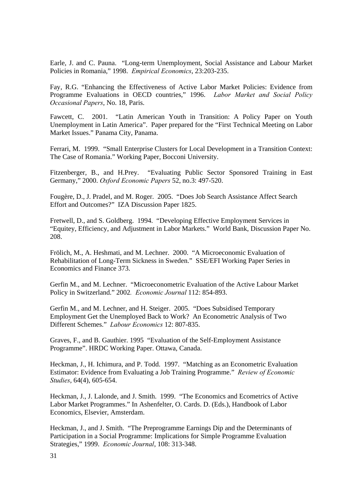Earle, J. and C. Pauna. "Long-term Unemployment, Social Assistance and Labour Market Policies in Romania," 1998. *Empirical Economics*, 23:203-235.

Fay, R.G. "Enhancing the Effectiveness of Active Labor Market Policies: Evidence from Programme Evaluations in OECD countries," 1996. *Labor Market and Social Policy Occasional Papers*, No. 18, Paris.

Fawcett, C. 2001. "Latin American Youth in Transition: A Policy Paper on Youth Unemployment in Latin America". Paper prepared for the "First Technical Meeting on Labor Market Issues." Panama City, Panama.

Ferrari, M. 1999. "Small Enterprise Clusters for Local Development in a Transition Context: The Case of Romania." Working Paper, Bocconi University.

Fitzenberger, B., and H.Prey. "Evaluating Public Sector Sponsored Training in East Germany," 2000. *Oxford Economic Papers* 52, no.3: 497-520.

Fougère, D., J. Pradel, and M. Roger. 2005. "Does Job Search Assistance Affect Search Effort and Outcomes?" IZA Discussion Paper 1825.

Fretwell, D., and S. Goldberg. 1994. "Developing Effective Employment Services in "Equitey, Efficiency, and Adjustment in Labor Markets." World Bank, Discussion Paper No. 208.

Frölich, M., A. Heshmati, and M. Lechner. 2000. "A Microeconomic Evaluation of Rehabilitation of Long-Term Sickness in Sweden." SSE/EFI Working Paper Series in Economics and Finance 373.

Gerfin M., and M. Lechner. "Microeconometric Evaluation of the Active Labour Market Policy in Switzerland." 2002*. Economic Journal* 112: 854-893.

Gerfin M., and M. Lechner, and H. Steiger. 2005. "Does Subsidised Temporary Employment Get the Unemployed Back to Work? An Econometric Analysis of Two Different Schemes." *Labour Economics* 12: 807-835.

Graves, F., and B. Gauthier. 1995 "Evaluation of the Self-Employment Assistance Programme". HRDC Working Paper. Ottawa, Canada.

Heckman, J., H. Ichimura, and P. Todd. 1997. "Matching as an Econometric Evaluation Estimator: Evidence from Evaluating a Job Training Programme." *Review of Economic Studies*, 64(4), 605-654.

Heckman, J., J. Lalonde, and J. Smith. 1999. "The Economics and Ecometrics of Active Labor Market Programmes." In Ashenfelter, O. Cards. D. (Eds.), Handbook of Labor Economics, Elsevier, Amsterdam.

Heckman, J., and J. Smith. "The Preprogramme Earnings Dip and the Determinants of Participation in a Social Programme: Implications for Simple Programme Evaluation Strategies," 1999. *Economic Journal*, 108: 313-348.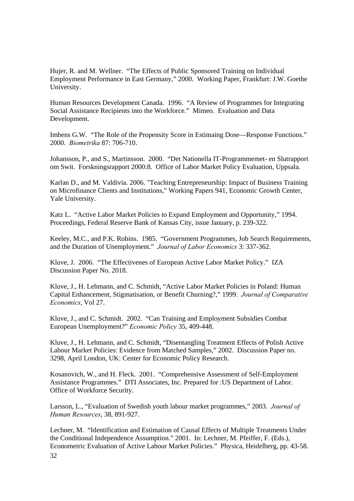Hujer, R. and M. Wellner. "The Effects of Public Sponsored Training on Individual Employment Performance in East Germany," 2000. Working Paper, Frankfurt: J.W. Goethe University.

Human Resources Development Canada. 1996. "A Review of Programmes for Integrating Social Assistance Recipients into the Workforce." Mimeo. Evaluation and Data Development.

Imbens G.W. "The Role of the Propensity Score in Estimaing Dose—Response Functions." 2000. *Biometrika* 87: 706-710.

Johansson, P., and S., Martinsson. 2000. "Det Nationella IT-Programmemet- en Slutrapport om Swit. Forskningsrapport 2000:8. Office of Labor Market Policy Evaluation, Uppsala.

Karlan D., and M. Valdivia. 2006. "Teaching Entrepreneurship: Impact of Business Training on Microfinance Clients and Institutions," Working Papers 941, Economic Growth Center, Yale University.

Katz L. "Active Labor Market Policies to Expand Employment and Opportunity," 1994. Proceedings, Federal Reserve Bank of Kansas City, issue January, p. 239-322.

Keeley, M.C., and P.K. Robins. 1985. "Government Programmes, Job Search Requirements, and the Duration of Unemployment." *Journal of Labor Economics* 3: 337-362.

Kluve, J. 2006. "The Effectivenes of European Active Labor Market Policy." IZA Discussion Paper No. 2018.

Kluve, J., H. Lehmann, and C. Schmidt, "Active Labor Market Policies in Poland: Human Capital Enhancement, Stigmatisation, or Benefit Churning?," 1999. *Journal of Comparative Economics*, Vol 27.

Kluve, J., and C. Schmidt. 2002. "Can Training and Employment Subsidies Combat European Unemployment?" *Economic Policy* 35, 409-448.

Kluve, J., H. Lehmann, and C. Schmidt, "Disentangling Treatment Effects of Polish Active Labour Market Policies: Evidence from Matched Samples," 2002. Discussion Paper no. 3298, April London, UK: Center for Economic Policy Research.

Kosanovich, W., and H. Fleck. 2001. "Comprehensive Assessment of Self-Employment Assistance Programmes." DTI Associates, Inc. Prepared for :US Department of Labor. Office of Workforce Security.

Larsson, L., "Evaluation of Swedish youth labour market programmes," 2003. *Journal of Human Resources*, 38, 891-927.

Lechner, M. "Identification and Estimation of Causal Effects of Multiple Treatments Under the Conditional Independence Assumption." 2001. In: Lechner, M. Pfeiffer, F. (Eds.), Econometric Evaluation of Active Labour Market Policies." Physica, Heidelberg, pp. 43-58.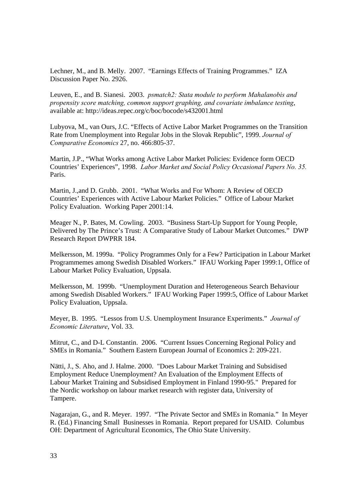Lechner, M., and B. Melly. 2007. "Earnings Effects of Training Programmes." IZA Discussion Paper No. 2926.

Leuven, E., and B. Sianesi. 2003. *psmatch2: Stata module to perform Mahalanobis and propensity score matching, common support graphing, and covariate imbalance testing*, available at: http://ideas.repec.org/c/boc/bocode/s432001.html

Lubyova, M., van Ours, J.C. "Effects of Active Labor Market Programmes on the Transition Rate from Unemployment into Regular Jobs in the Slovak Republic", 1999. *Journal of Comparative Economics* 27, no. 466:805-37.

Martin, J.P., "What Works among Active Labor Market Policies: Evidence form OECD Countries' Experiences", 1998. *Labor Market and Social Policy Occasional Papers No. 35.* Paris.

Martin, J.,and D. Grubb. 2001. "What Works and For Whom: A Review of OECD Countries' Experiences with Active Labour Market Policies." Office of Labour Market Policy Evaluation. Working Paper 2001:14.

Meager N., P. Bates, M. Cowling. 2003. "Business Start-Up Support for Young People, Delivered by The Prince's Trust: A Comparative Study of Labour Market Outcomes." DWP Research Report DWPRR 184.

Melkersson, M. 1999a. "Policy Programmes Only for a Few? Participation in Labour Market Programmemes among Swedish Disabled Workers." IFAU Working Paper 1999:1, Office of Labour Market Policy Evaluation, Uppsala.

Melkersson, M. 1999b. "Unemployment Duration and Heterogeneous Search Behaviour among Swedish Disabled Workers." IFAU Working Paper 1999:5, Office of Labour Market Policy Evaluation, Uppsala.

Meyer, B. 1995. "Lessos from U.S. Unemployment Insurance Experiments." *Journal of Economic Literature*, Vol. 33.

Mitrut, C., and D-L Constantin. 2006. "Current Issues Concerning Regional Policy and SMEs in Romania." Southern Eastern European Journal of Economics 2: 209-221.

Nätti, J., S. Aho, and J. Halme. 2000. "Does Labour Market Training and Subsidised Employment Reduce Unemployment? An Evaluation of the Employment Effects of Labour Market Training and Subsidised Employment in Finland 1990-95." Prepared for the Nordic workshop on labour market research with register data, University of Tampere.

Nagarajan, G., and R. Meyer. 1997. "The Private Sector and SMEs in Romania." In Meyer R. (Ed.) Financing Small Businesses in Romania. Report prepared for USAID. Columbus OH: Department of Agricultural Economics, The Ohio State University.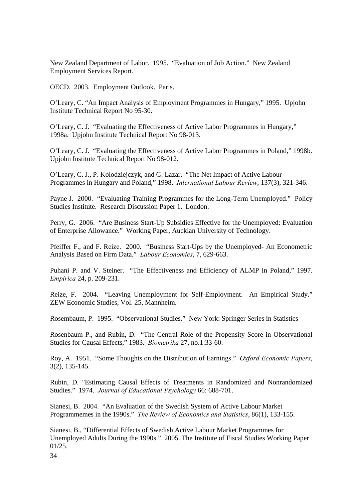New Zealand Department of Labor. 1995. "Evaluation of Job Action." New Zealand Employment Services Report.

OECD. 2003. Employment Outlook. Paris.

O'Leary, C. "An Impact Analysis of Employment Programmes in Hungary," 1995. Upjohn Institute Technical Report No 95-30.

O'Leary, C. J. "Evaluating the Effectiveness of Active Labor Programmes in Hungary," 1998a. Upjohn Institute Technical Report No 98-013.

O'Leary, C. J. "Evaluating the Effectiveness of Active Labor Programmes in Poland," 1998b. Upjohn Institute Technical Report No 98-012.

O'Leary, C. J., P. Kolodziejczyk, and G. Lazar. "The Net Impact of Active Labour Programmes in Hungary and Poland," 1998. *International Labour Review*, 137(3), 321-346.

Payne J. 2000. "Evaluating Training Programmes for the Long-Term Unemployed." Policy Studies Institute. Research Discussion Paper 1. London.

Perry, G. 2006. "Are Business Start-Up Subsidies Effective for the Unemployed: Evaluation of Enterprise Allowance." Working Paper, Aucklan University of Technology.

Pfeiffer F., and F. Reize. 2000. "Business Start-Ups by the Unemployed- An Econometric Analysis Based on Firm Data." *Labour Economics*, 7, 629-663.

Puhani P. and V. Steiner. "The Effectiveness and Efficiency of ALMP in Poland," 1997. *Empirica* 24, p. 209-231.

Reize, F. 2004. "Leaving Unemployment for Self-Employment. An Empirical Study." ZEW Economic Studies, Vol. 25, Mannheim.

Rosembaum, P. 1995. "Observational Studies." New York: Springer Series in Statistics

Rosenbaum P., and Rubin, D. "The Central Role of the Propensity Score in Observational Studies for Causal Effects," 1983. *Biometrika* 27, no.1:33-60.

Roy, A. 1951. "Some Thoughts on the Distribution of Earnings." *Oxford Economic Papers*, 3(2), 135-145.

Rubin, D. "Estimating Causal Effects of Treatments in Randomized and Nonrandomized Studies." 1974. *Journal of Educational Psychology* 66: 688-701.

Sianesi, B. 2004. "An Evaluation of the Swedish System of Active Labour Market Programmemes in the 1990s." *The Review of Economics and Statistics*, 86(1), 133-155.

Sianesi, B., "Differential Effects of Swedish Active Labour Market Programmes for Unemployed Adults During the 1990s." 2005. The Institute of Fiscal Studies Working Paper 01/25.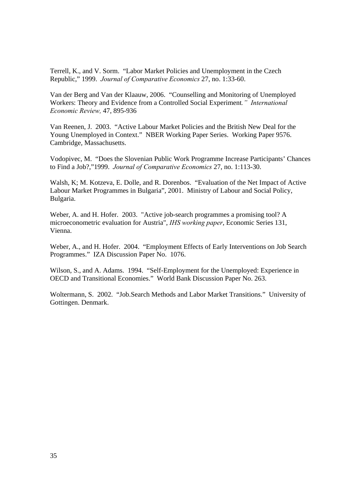Terrell, K., and V. Sorm. "Labor Market Policies and Unemployment in the Czech Republic," 1999. *Journal of Comparative Economics* 27, no. 1:33-60.

Van der Berg and Van der Klaauw, 2006. "Counselling and Monitoring of Unemployed Workers: Theory and Evidence from a Controlled Social Experiment*." International Economic Review,* 47, 895-936

Van Reenen, J. 2003. "Active Labour Market Policies and the British New Deal for the Young Unemployed in Context." NBER Working Paper Series. Working Paper 9576. Cambridge, Massachusetts.

Vodopivec, M. "Does the Slovenian Public Work Programme Increase Participants' Chances to Find a Job?,"1999. *Journal of Comparative Economics* 27, no. 1:113-30.

Walsh, K; M. Kotzeva, E. Dolle, and R. Dorenbos. "Evaluation of the Net Impact of Active Labour Market Programmes in Bulgaria", 2001. Ministry of Labour and Social Policy, Bulgaria.

Weber, A. and H. Hofer. 2003. "Active job-search programmes a promising tool? A microeconometric evaluation for Austria", *IHS working paper*, Economic Series 131, Vienna.

Weber, A., and H. Hofer. 2004. "Employment Effects of Early Interventions on Job Search Programmes." IZA Discussion Paper No. 1076.

Wilson, S., and A. Adams. 1994. "Self-Employment for the Unemployed: Experience in OECD and Transitional Economies." World Bank Discussion Paper No. 263.

Woltermann, S. 2002. "Job.Search Methods and Labor Market Transitions." University of Gottingen. Denmark.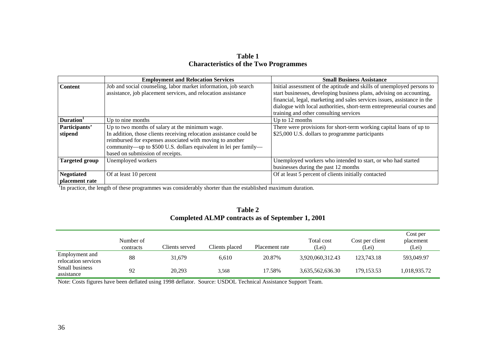| Table 1                                      |
|----------------------------------------------|
| <b>Characteristics of the Two Programmes</b> |

|                       | <b>Employment and Relocation Services</b>                           | <b>Small Business Assistance</b>                                         |
|-----------------------|---------------------------------------------------------------------|--------------------------------------------------------------------------|
| <b>Content</b>        | Job and social counseling, labor market information, job search     | Initial assessment of the aptitude and skills of unemployed persons to   |
|                       | assistance, job placement services, and relocation assistance       | start businesses, developing business plans, advising on accounting,     |
|                       |                                                                     | financial, legal, marketing and sales services issues, assistance in the |
|                       |                                                                     | dialogue with local authorities, short-term entrepreneurial courses and  |
|                       |                                                                     | training and other consulting services                                   |
| Duration <sup>1</sup> | Up to nine months                                                   | Up to 12 months                                                          |
| Participants'         | Up to two months of salary at the minimum wage.                     | There were provisions for short-term working capital loans of up to      |
| stipend               | In addition, those clients receiving relocation assistance could be | \$25,000 U.S. dollars to programme participants                          |
|                       | reimbursed for expenses associated with moving to another           |                                                                          |
|                       | community—up to \$500 U.S. dollars equivalent in lei per family—    |                                                                          |
|                       | based on submission of receipts.                                    |                                                                          |
| <b>Targeted group</b> | Unemployed workers                                                  | Unemployed workers who intended to start, or who had started             |
|                       |                                                                     | businesses during the past 12 months                                     |
| <b>Negotiated</b>     | Of at least 10 percent                                              | Of at least 5 percent of clients initially contacted                     |
| placement rate        |                                                                     |                                                                          |

<sup>1</sup>In practice, the length of these programmes was considerably shorter than the established maximum duration.

|                                                  | Table 2 |  |
|--------------------------------------------------|---------|--|
| Completed ALMP contracts as of September 1, 2001 |         |  |

|                                       | Number of<br>contracts | Clients served | Clients placed | Placement rate | Total cost<br>(Lei) | Cost per client<br>(Lei) | Cost per<br>placement<br>(Lei) |
|---------------------------------------|------------------------|----------------|----------------|----------------|---------------------|--------------------------|--------------------------------|
| Employment and<br>relocation services | 88                     | 31.679         | 6.610          | 20.87%         | 3,920,060,312.43    | 123.743.18               | 593,049.97                     |
| <b>Small business</b><br>assistance   | 92                     | 20,293         | 3,568          | 17.58%         | 3,635,562,636.30    | 179.153.53               | 1,018,935.72                   |

Note: Costs figures have been deflated using 1998 deflator. Source: USDOL Technical Assistance Support Team.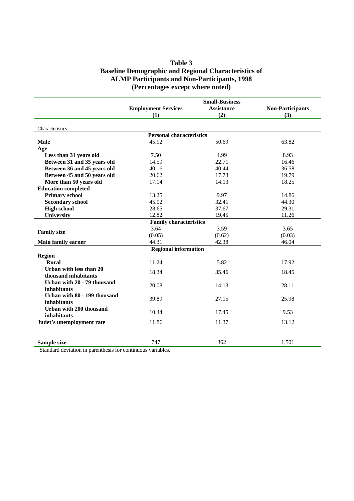## **Table 3 Baseline Demographic and Regional Characteristics of ALMP Participants and Non-Participants, 1998 (Percentages except where noted)**

|                              |                                 | <b>Small-Business</b> |                         |  |  |  |  |  |
|------------------------------|---------------------------------|-----------------------|-------------------------|--|--|--|--|--|
|                              | <b>Employment Services</b>      | <b>Assistance</b>     | <b>Non-Participants</b> |  |  |  |  |  |
|                              | (1)                             | (2)                   | (3)                     |  |  |  |  |  |
|                              |                                 |                       |                         |  |  |  |  |  |
| Characteristics              |                                 |                       |                         |  |  |  |  |  |
|                              | <b>Personal characteristics</b> |                       |                         |  |  |  |  |  |
| <b>Male</b>                  | 45.92                           | 50.69                 | 63.82                   |  |  |  |  |  |
| Age                          |                                 |                       |                         |  |  |  |  |  |
| Less than 31 years old       | 7.50                            | 4.99                  | 8.93                    |  |  |  |  |  |
| Between 31 and 35 years old  | 14.59                           | 22.71                 | 16.46                   |  |  |  |  |  |
| Between 36 and 45 years old  | 40.16                           | 40.44                 | 36.58                   |  |  |  |  |  |
| Between 45 and 50 years old  | 20.62                           | 17.73                 | 19.79                   |  |  |  |  |  |
| More than 50 years old       | 17.14                           | 14.13                 | 18.25                   |  |  |  |  |  |
| <b>Education completed</b>   |                                 |                       |                         |  |  |  |  |  |
| <b>Primary school</b>        | 13.25                           | 9.97                  | 14.86                   |  |  |  |  |  |
| <b>Secondary school</b>      | 45.92                           | 32.41                 | 44.30                   |  |  |  |  |  |
| <b>High school</b>           | 28.65                           | 37.67                 | 29.31                   |  |  |  |  |  |
| <b>University</b>            | 12.82                           | 19.45                 | 11.26                   |  |  |  |  |  |
|                              | <b>Family characteristics</b>   |                       |                         |  |  |  |  |  |
|                              | 3.64                            | 3.59                  | 3.65                    |  |  |  |  |  |
| <b>Family size</b>           | (0.05)                          | (0.62)                | (0.03)                  |  |  |  |  |  |
| <b>Main family earner</b>    | 44.31                           | 42.38                 | 46.04                   |  |  |  |  |  |
|                              | <b>Regional information</b>     |                       |                         |  |  |  |  |  |
| <b>Region</b>                |                                 |                       |                         |  |  |  |  |  |
| <b>Rural</b>                 | 11.24                           | 5.82                  | 17.92                   |  |  |  |  |  |
| Urban with less than 20      |                                 |                       |                         |  |  |  |  |  |
| thousand inhabitants         | 18.34                           | 35.46                 | 18.45                   |  |  |  |  |  |
| Urban with 20 - 79 thousand  |                                 |                       |                         |  |  |  |  |  |
| inhabitants                  | 20.08                           | 14.13                 | 28.11                   |  |  |  |  |  |
| Urban with 80 - 199 thousand |                                 |                       |                         |  |  |  |  |  |
|                              | 39.89                           | 27.15                 | 25.98                   |  |  |  |  |  |
| inhabitants                  |                                 |                       |                         |  |  |  |  |  |
| Urban with 200 thousand      | 10.44                           | 17.45                 | 9.53                    |  |  |  |  |  |
| inhabitants                  |                                 |                       |                         |  |  |  |  |  |
| Judet's unemployment rate    | 11.86                           | 11.37                 | 13.12                   |  |  |  |  |  |
|                              |                                 |                       |                         |  |  |  |  |  |
| Sample size                  | 747                             | 362                   | 1,501                   |  |  |  |  |  |

Standard deviation in parenthesis for continuous variables.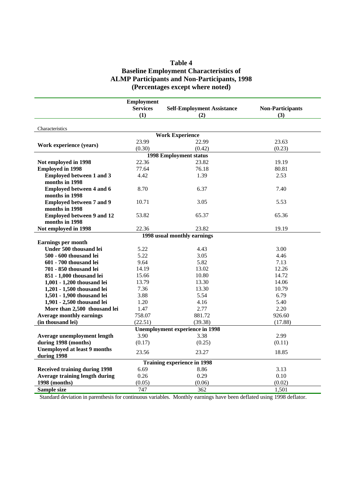## **Table 4 Baseline Employment Characteristics of ALMP Participants and Non-Participants, 1998 (Percentages except where noted)**

|                                       | <b>Employment</b>      |                                            |                         |
|---------------------------------------|------------------------|--------------------------------------------|-------------------------|
|                                       | <b>Services</b><br>(1) | <b>Self-Employment Assistance</b>          | <b>Non-Participants</b> |
|                                       |                        | (2)                                        | (3)                     |
| Characteristics                       |                        |                                            |                         |
|                                       |                        | <b>Work Experience</b>                     |                         |
| Work experience (years)               | 23.99                  | 22.99                                      | 23.63                   |
|                                       | (0.30)                 | (0.42)                                     | (0.23)                  |
|                                       |                        | <b>1998 Employment status</b>              |                         |
| Not employed in 1998                  | 22.36                  | 23.82                                      | 19.19                   |
| <b>Employed in 1998</b>               | 77.64                  | 76.18                                      | 80.81                   |
| <b>Employed between 1 and 3</b>       | 4.42                   | 1.39                                       | 2.53                    |
| months in 1998                        |                        |                                            |                         |
| <b>Employed between 4 and 6</b>       | 8.70                   | 6.37                                       | 7.40                    |
| months in 1998                        |                        |                                            |                         |
| <b>Employed between 7 and 9</b>       | 10.71                  | 3.05                                       | 5.53                    |
| months in 1998                        |                        |                                            |                         |
| <b>Employed between 9 and 12</b>      | 53.82                  | 65.37                                      | 65.36                   |
| months in 1998                        |                        |                                            |                         |
| Not employed in 1998                  | 22.36                  | 23.82                                      | 19.19                   |
|                                       |                        | 1998 usual monthly earnings                |                         |
| <b>Earnings per month</b>             |                        |                                            |                         |
| Under 500 thousand lei                | 5.22                   | 4.43                                       | 3.00                    |
| 500 - 600 thousand lei                | 5.22                   | 3.05                                       | 4.46                    |
| 601 - 700 thousand lei                | 9.64                   | 5.82                                       | 7.13                    |
| 701 - 850 thousand lei                | 14.19                  | 13.02                                      | 12.26                   |
| 851 - 1,000 thousand lei              | 15.66                  | 10.80                                      | 14.72                   |
| 1,001 - 1,200 thousand lei            | 13.79                  | 13.30                                      | 14.06                   |
| 1,201 - 1,500 thousand lei            | 7.36                   | 13.30                                      | 10.79                   |
| 1,501 - 1,900 thousand lei            | 3.88                   | 5.54                                       | 6.79                    |
| 1,901 - 2,500 thousand lei            | 1.20                   | 4.16                                       | 5.40                    |
| More than 2,500 thousand lei          | 1.47                   | 2.77                                       | 2.20                    |
| <b>Average monthly earnings</b>       | 758.07                 | 881.72                                     | 926.60                  |
| (in thousand lei)                     | (22.51)                | (39.38)                                    | (17.88)                 |
|                                       |                        | <b>Unemployment experience in 1998</b>     |                         |
| Average unemployment length           | 3.90                   | 3.38                                       | 2.99                    |
| during 1998 (months)                  | (0.17)                 | (0.25)                                     | (0.11)                  |
| <b>Unemployed at least 9 months</b>   |                        |                                            |                         |
| during 1998                           | 23.56                  | 23.27                                      | 18.85                   |
|                                       |                        |                                            |                         |
|                                       | 6.69                   | <b>Training experience in 1998</b><br>8.86 | 3.13                    |
| <b>Received training during 1998</b>  | 0.26                   | 0.29                                       | 0.10                    |
| <b>Average training length during</b> |                        |                                            |                         |
| 1998 (months)                         | (0.05)                 | (0.06)                                     | (0.02)                  |
| Sample size                           | 747                    | 362                                        | 1,501                   |

Standard deviation in parenthesis for continuous variables. Monthly earnings have been deflated using 1998 deflator.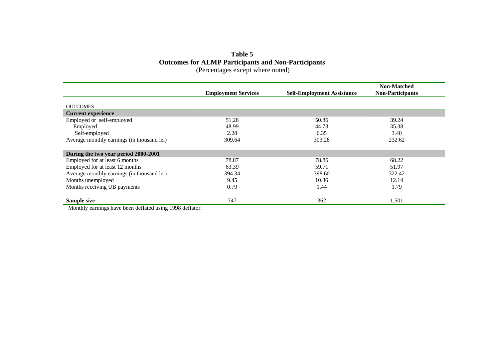## **Table 5 Outcomes for ALMP Participants and Non-Participants**  (Percentages except where noted)

|                                            | <b>Employment Services</b> | <b>Self-Employment Assistance</b> | <b>Non-Matched</b><br><b>Non-Participants</b> |
|--------------------------------------------|----------------------------|-----------------------------------|-----------------------------------------------|
|                                            |                            |                                   |                                               |
| <b>OUTCOMES</b>                            |                            |                                   |                                               |
| <b>Current experience</b>                  |                            |                                   |                                               |
| Employed or self-employed                  | 51.28                      | 50.86                             | 39.24                                         |
| Employed                                   | 48.99                      | 44.73                             | 35.38                                         |
| Self-employed                              | 2.28                       | 6.35                              | 3.40                                          |
| Average monthly earnings (in thousand lei) | 309.64                     | 303.28                            | 232.62                                        |
| During the two year period 2000-2001       |                            |                                   |                                               |
| Employed for at least 6 months             | 78.87                      | 78.86                             | 68.22                                         |
| Employed for at least 12 months            | 63.39                      | 59.71                             | 51.97                                         |
| Average monthly earnings (in thousand lei) | 394.34                     | 398.60                            | 322.42                                        |
| Months unemployed                          | 9.45                       | 10.36                             | 12.14                                         |
| Months receiving UB payments               | 0.79                       | 1.44                              | 1.79                                          |
| Sample size                                | 747                        | 362                               | 1,501                                         |

Monthly earnings have been deflated using 1998 deflator.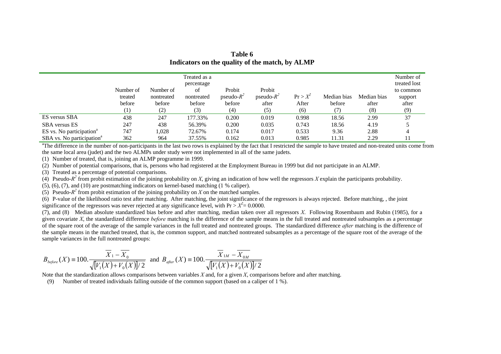|                                       | Number of<br>treated<br>before<br>(1) | Number of<br>nontreated<br>before<br>(2) | Treated as a<br>percentage<br>of<br>nontreated<br>before<br>(3) | Probit<br>pseudo- $R^2$<br>before<br>(4) | Probit<br>pseudo- $R^2$<br>after<br>(5) | $Pr > X^2$<br>After<br>(6) | Median bias<br>before | Median bias<br>after<br>(8) | Number of<br>treated lost<br>to common<br>support<br>after<br>(9) |
|---------------------------------------|---------------------------------------|------------------------------------------|-----------------------------------------------------------------|------------------------------------------|-----------------------------------------|----------------------------|-----------------------|-----------------------------|-------------------------------------------------------------------|
| ES versus SBA                         | 438                                   | 247                                      | 177.33%                                                         | 0.200                                    | 0.019                                   | 0.998                      | 18.56                 | 2.99                        | 37                                                                |
| <b>SBA</b> versus ES                  | 247                                   | 438                                      | 56.39%                                                          | 0.200                                    | 0.035                                   | 0.743                      | 18.56                 | 4.19                        |                                                                   |
| ES vs. No participation <sup>a</sup>  | 747                                   | 1.028                                    | 72.67%                                                          | 0.174                                    | 0.017                                   | 0.533                      | 9.36                  | 2.88                        |                                                                   |
| SBA vs. No participation <sup>a</sup> | 362                                   | 964                                      | 37.55%                                                          | 0.162                                    | 0.013                                   | 0.985                      | 11.31                 | 2.29                        |                                                                   |

**Table 6 Indicators on the quality of the match, by ALMP** 

<sup>a</sup>The difference in the number of non-participants in the last two rows is explained by the fact that I restricted the sample to have treated and non-treated units come from the same local area (judet) and the two ALMPs under study were not implemented in all of the same judets.

(1) Number of treated, that is, joining an ALMP programme in 1999.

(2) Number of potential comparisons, that is, persons who had registered at the Employment Bureau in 1999 but did not participate in an ALMP.

(3) Treated as a percentage of potential comparisons.

(4) Pseudo- $R^2$  from probit estimation of the joining probability on *X*, giving an indication of how well the regressors *X* explain the participants probability.

(5), (6), (7), and (10) are postmatching indicators on kernel-based matching (1 % caliper).

(5) Pseudo- $R^2$  from probit estimation of the joining probability on *X* on the matched samples.

 $(6)$  P-value of the likelihood ratio test after matching. After matching, the joint significance of the regressors is always rejected. Before matching, , the joint significance of the regressors was never rejected at any significance level, with  $Pr > X^2 = 0.0000$ .

(7), and (8) Median absolute standardized bias before and after matching, median taken over all regressors *X*. Following Rosembaum and Rubin (1985), for a given covariate *X*, the standardized difference *before* matching is the difference of the sample means in the full treated and nontreated subsamples as a percentage of the square root of the average of the sample variances in the full treated and nontreated groups. The standardized difference *after* matching is the difference of the sample means in the matched treated, that is, the common support, and matched nontreated subsamples as a percentage of the square root of the average of the sample variances in the full nontreated groups:

$$
B_{before}(X) = 100. \frac{\overline{X}_1 - \overline{X}_0}{\sqrt{[V_1(X) + V_0(X)]/2}} \text{ and } B_{after}(X) = 100. \frac{\overline{X}_{1M} - \overline{X}_{0M}}{\sqrt{[V_1(X) + V_0(X)]/2}}
$$

Note that the standardization allows comparisons between variables *X* and, for a given *X*, comparisons before and after matching.

(9) Number of treated individuals falling outside of the common support (based on a caliper of 1 %).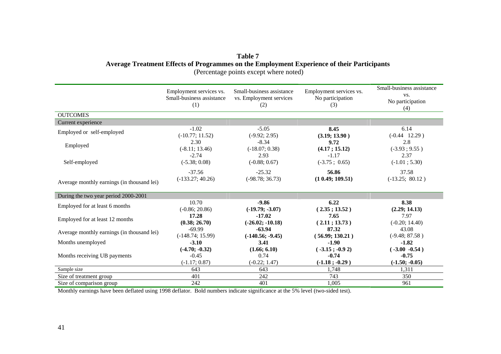## **Table 7 Average Treatment Effects of Programmes on the Employment Experience of their Participants**  (Percentage points except where noted)

|                                            | Employment services vs.<br>Small-business assistance<br>(1) | Small-business assistance<br>vs. Employment services<br>(2) | Employment services vs.<br>No participation<br>(3) | Small-business assistance<br>VS.<br>No participation<br>(4) |
|--------------------------------------------|-------------------------------------------------------------|-------------------------------------------------------------|----------------------------------------------------|-------------------------------------------------------------|
| <b>OUTCOMES</b>                            |                                                             |                                                             |                                                    |                                                             |
| Current experience                         |                                                             |                                                             |                                                    |                                                             |
| Employed or self-employed                  | $-1.02$                                                     | $-5.05$                                                     | 8.45                                               | 6.14                                                        |
|                                            | $(-10.77; 11.52)$                                           | $(-9.92; 2.95)$                                             | (3.19; 13.90)                                      | $(-0.44 \quad 12.29)$                                       |
| Employed                                   | 2.30                                                        | $-8.34$                                                     | 9.72                                               | 2.8                                                         |
|                                            | $(-8.11; 13.46)$                                            | $(-18.07; 0.38)$                                            | (4.17; 15.12)                                      | $(-3.93; 9.55)$                                             |
| Self-employed                              | $-2.74$                                                     | 2.93                                                        | $-1.17$                                            | 2.37                                                        |
|                                            | $(-5.38; 0.08)$                                             | $(-0.88; 0.67)$                                             | $(-3.75 \; ; \; 0.65)$                             | $(-1.01; 5.30)$                                             |
| Average monthly earnings (in thousand lei) | $-37.56$                                                    | $-25.32$                                                    | 56.86                                              | 37.58                                                       |
|                                            | $(-133.27; 40.26)$                                          | $(-98.78; 36.73)$                                           | (10.49; 109.51)                                    | $(-13.25; 80.12)$                                           |
| During the two year period 2000-2001       |                                                             |                                                             |                                                    |                                                             |
| Employed for at least 6 months             | 10.70                                                       | $-9.86$                                                     | 6.22                                               | 8.38                                                        |
|                                            | $(-0.86; 20.86)$                                            | $(-19.79; -3.07)$                                           | (2.35; 13.52)                                      | (2.29; 14.13)                                               |
| Employed for at least 12 months            | 17.28                                                       | $-17.02$                                                    | 7.65                                               | 7.97                                                        |
|                                            | (0.38; 26.70)                                               | $(-26.02; -10.18)$                                          | (2.11; 13.73)                                      | $(-0.20; 14.40)$                                            |
| Average monthly earnings (in thousand lei) | $-69.99$                                                    | $-63.94$                                                    | 87.32                                              | 43.08                                                       |
|                                            | $(-148.74; 15.99)$                                          | $(-140.56; -9.45)$                                          | (56.99; 130.21)                                    | $(-9.48; 87.58)$                                            |
| Months unemployed                          | $-3.10$                                                     | 3.41                                                        | $-1.90$                                            | $-1.82$                                                     |
| Months receiving UB payments               | $(-4.70; -0.32)$                                            | (1.66; 6.10)                                                | $(-3.15; -0.92)$                                   | $(.3.00 -0.54)$                                             |
|                                            | $-0.45$                                                     | 0.74                                                        | $-0.74$                                            | $-0.75$                                                     |
|                                            | $(-1.17; 0.87)$                                             | $(-0.22; 1.47)$                                             | $(-1.18; -0.29)$                                   | $(-1.50; -0.05)$                                            |
| Sample size                                | 643                                                         | 643                                                         | 1,748                                              | 1,311                                                       |
| Size of treatment group                    | 401                                                         | 242                                                         | 743                                                | 350                                                         |
| Size of comparison group                   | 242                                                         | 401                                                         | 1,005                                              | 961                                                         |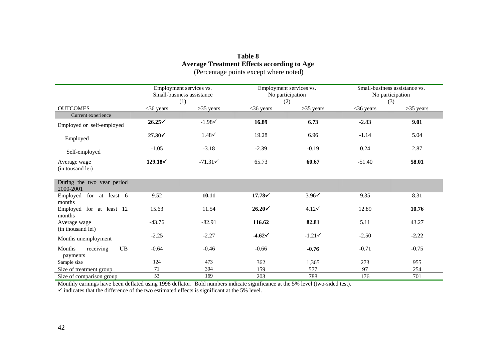## **Table 8 Average Treatment Effects according to Age**  (Percentage points except where noted)

|                                         | Employment services vs.<br>Small-business assistance<br>(1) |                  |                   | Employment services vs.<br>No participation<br>(2) |             | Small-business assistance vs.<br>No participation<br>(3) |  |
|-----------------------------------------|-------------------------------------------------------------|------------------|-------------------|----------------------------------------------------|-------------|----------------------------------------------------------|--|
| <b>OUTCOMES</b>                         | $<$ 36 years                                                | $>35$ years      | $<$ 36 years      | $>35$ years                                        | $<36$ years | $>35$ years                                              |  |
| Current experience                      |                                                             |                  |                   |                                                    |             |                                                          |  |
| Employed or self-employed               | $26.25\check{ }$                                            | $-1.98′$         | 16.89             | 6.73                                               | $-2.83$     | 9.01                                                     |  |
| Employed                                | $27.30\check{ }$                                            | $1.48\checkmark$ | 19.28             | 6.96                                               | $-1.14$     | 5.04                                                     |  |
| Self-employed                           | $-1.05$                                                     | $-3.18$          | $-2.39$           | $-0.19$                                            | 0.24        | 2.87                                                     |  |
| Average wage<br>(in tousand lei)        | $129.18\checkmark$                                          | $-71.31$         | 65.73             | 60.67                                              | $-51.40$    | 58.01                                                    |  |
| During the two year period<br>2000-2001 |                                                             |                  |                   |                                                    |             |                                                          |  |
| Employed for at least 6<br>months       | 9.52                                                        | 10.11            | $17.78\checkmark$ | $3.96\check{v}$                                    | 9.35        | 8.31                                                     |  |
| Employed for at least 12<br>months      | 15.63                                                       | 11.54            | $26.20\check{ }$  | $4.12\check{ }$                                    | 12.89       | 10.76                                                    |  |
| Average wage<br>(in thousand lei)       | $-43.76$                                                    | $-82.91$         | 116.62            | 82.81                                              | 5.11        | 43.27                                                    |  |
| Months unemployment                     | $-2.25$                                                     | $-2.27$          | $-4.62\checkmark$ | $-1.21$                                            | $-2.50$     | $-2.22$                                                  |  |
| UB<br>Months<br>receiving<br>payments   | $-0.64$                                                     | $-0.46$          | $-0.66$           | $-0.76$                                            | $-0.71$     | $-0.75$                                                  |  |
| Sample size                             | 124                                                         | 473              | 362               | 1,365                                              | 273         | 955                                                      |  |
| Size of treatment group                 | 71                                                          | 304              | 159               | 577                                                | 97          | 254                                                      |  |
| Size of comparison group                | 53                                                          | 169              | 203               | 788                                                | 176         | 701                                                      |  |

Monthly earnings have been deflated using 1998 deflator. Bold numbers indicate significance at the 5% level (two-sided test).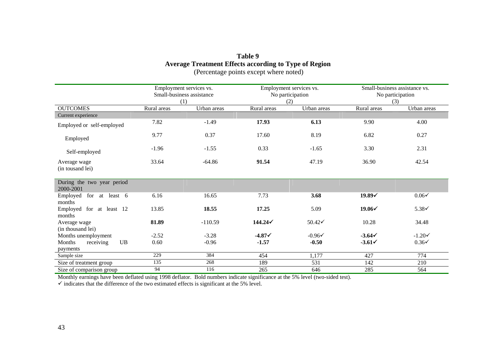## **Table 9 Average Treatment Effects according to Type of Region**  (Percentage points except where noted)

|                                         |             | Small-business assistance vs.<br>Employment services vs.<br>Small-business assistance<br>No participation<br>No participation<br>(1)<br>(2)<br>(3) |             | Employment services vs. |                  |                   |
|-----------------------------------------|-------------|----------------------------------------------------------------------------------------------------------------------------------------------------|-------------|-------------------------|------------------|-------------------|
| <b>OUTCOMES</b>                         | Rural areas | Urban areas                                                                                                                                        | Rural areas | Urban areas             | Rural areas      | Urban areas       |
| Current experience                      |             |                                                                                                                                                    |             |                         |                  |                   |
| Employed or self-employed               | 7.82        | $-1.49$                                                                                                                                            | 17.93       | 6.13                    | 9.90             | 4.00              |
| Employed                                | 9.77        | 0.37                                                                                                                                               | 17.60       | 8.19                    | 6.82             | 0.27              |
| Self-employed                           | $-1.96$     | $-1.55$                                                                                                                                            | 0.33        | $-1.65$                 | 3.30             | 2.31              |
| Average wage<br>(in tousand lei)        | 33.64       | $-64.86$                                                                                                                                           | 91.54       | 47.19                   | 36.90            | 42.54             |
| During the two year period<br>2000-2001 |             |                                                                                                                                                    |             |                         |                  |                   |
| Employed<br>for at least 6<br>months    | 6.16        | 16.65                                                                                                                                              | 7.73        | 3.68                    | $19.89\check{$   | $0.06\checkmark$  |
| Employed for at least 12<br>months      | 13.85       | 18.55                                                                                                                                              | 17.25       | 5.09                    | $19.06\check{ }$ | $5.38\checkmark$  |
| Average wage<br>(in thousand lei)       | 81.89       | $-110.59$                                                                                                                                          | 144.24      | $50.42\check{ }$        | 10.28            | 34.48             |
| Months unemployment                     | $-2.52$     | $-3.28$                                                                                                                                            | $-4.871$    | $-0.96\checkmark$       | $-3.641$         | $-1.20\checkmark$ |
| UB<br>Months<br>receiving<br>payments   | 0.60        | $-0.96$                                                                                                                                            | $-1.57$     | $-0.50$                 | $-3.61\check{ }$ | $0.36\checkmark$  |
| Sample size                             | 229         | 384                                                                                                                                                | 454         | 1,177                   | 427              | 774               |
| Size of treatment group                 | 135         | 268                                                                                                                                                | 189         | 531                     | 142              | 210               |
| Size of comparison group                | 94          | 116                                                                                                                                                | 265         | 646                     | 285              | 564               |

Monthly earnings have been deflated using 1998 deflator. Bold numbers indicate significance at the 5% level (two-sided test).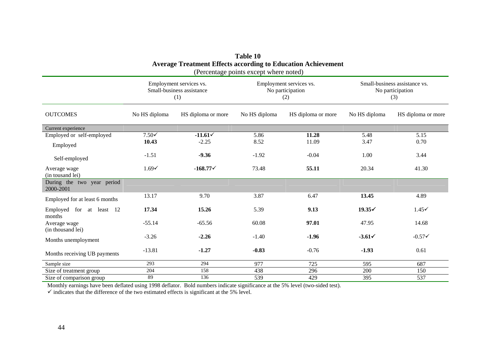| <b>Average Treatment Effects according to Education Achievement</b><br>(Percentage points except where noted) |                  |                                                             |                                                    |                    |                                                          |                    |  |
|---------------------------------------------------------------------------------------------------------------|------------------|-------------------------------------------------------------|----------------------------------------------------|--------------------|----------------------------------------------------------|--------------------|--|
|                                                                                                               |                  | Employment services vs.<br>Small-business assistance<br>(1) | Employment services vs.<br>No participation<br>(2) |                    | Small-business assistance vs.<br>No participation<br>(3) |                    |  |
| <b>OUTCOMES</b>                                                                                               | No HS diploma    | HS diploma or more                                          | No HS diploma                                      | HS diploma or more | No HS diploma                                            | HS diploma or more |  |
| Current experience                                                                                            |                  |                                                             |                                                    |                    |                                                          |                    |  |
| Employed or self-employed                                                                                     | $7.50\checkmark$ | $-11.61-1$                                                  | 5.86                                               | 11.28              | 5.48                                                     | 5.15               |  |
| Employed                                                                                                      | 10.43            | $-2.25$                                                     | 8.52                                               | 11.09              | 3.47                                                     | 0.70               |  |
| Self-employed                                                                                                 | $-1.51$          | $-9.36$                                                     | $-1.92$                                            | $-0.04$            | 1.00                                                     | 3.44               |  |
| Average wage<br>(in tousand lei)                                                                              | $1.69\checkmark$ | $-168.770$                                                  | 73.48                                              | 55.11              | 20.34                                                    | 41.30              |  |
| During the two year period<br>2000-2001                                                                       |                  |                                                             |                                                    |                    |                                                          |                    |  |
| Employed for at least 6 months                                                                                | 13.17            | 9.70                                                        | 3.87                                               | 6.47               | 13.45                                                    | 4.89               |  |
| Employed for at least 12<br>months                                                                            | 17.34            | 15.26                                                       | 5.39                                               | 9.13               | $19.35\check{ }$                                         | $1.45\checkmark$   |  |
| Average wage<br>(in thousand lei)                                                                             | $-55.14$         | $-65.56$                                                    | 60.08                                              | 97.01              | 47.95                                                    | 14.68              |  |
| Months unemployment                                                                                           | $-3.26$          | $-2.26$                                                     | $-1.40$                                            | $-1.96$            | $-3.61\checkmark$                                        | $-0.57\check{ }$   |  |
| Months receiving UB payments                                                                                  | $-13.81$         | $-1.27$                                                     | $-0.83$                                            | $-0.76$            | $-1.93$                                                  | 0.61               |  |
| Sample size                                                                                                   | 293              | 294                                                         | 977                                                | 725                | 595                                                      | 687                |  |
| Size of treatment group                                                                                       | 204              | 158                                                         | 438                                                | 296                | 200                                                      | 150                |  |
| Size of comparison group                                                                                      | 89               | 136                                                         | 539                                                | 429                | 395                                                      | 537                |  |

| <b>Table 10</b>                                              |
|--------------------------------------------------------------|
| Average Treatment Effects according to Education Achievement |
| (Darcantora pointc system which                              |

Monthly earnings have been deflated using 1998 deflator. Bold numbers indicate significance at the 5% level (two-sided test).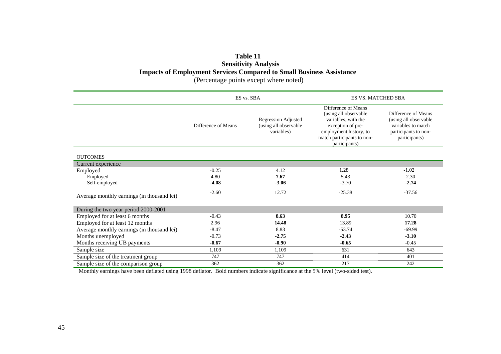# **Table 11 Sensitivity Analysis Impacts of Employment Services Compared to Small Business Assistance**

(Percentage points except where noted)

|                                            | ES vs. SBA          |                                                                   | <b>ES VS. MATCHED SBA</b>                                                                                                                                         |                                                                                                             |  |  |
|--------------------------------------------|---------------------|-------------------------------------------------------------------|-------------------------------------------------------------------------------------------------------------------------------------------------------------------|-------------------------------------------------------------------------------------------------------------|--|--|
|                                            | Difference of Means | <b>Regression Adjusted</b><br>(using all observable<br>variables) | Difference of Means<br>(using all observable<br>variables, with the<br>exception of pre-<br>employment history, to<br>match participants to non-<br>participants) | Difference of Means<br>(using all observable<br>variables to match<br>participants to non-<br>participants) |  |  |
| <b>OUTCOMES</b>                            |                     |                                                                   |                                                                                                                                                                   |                                                                                                             |  |  |
| Current experience                         |                     |                                                                   |                                                                                                                                                                   |                                                                                                             |  |  |
| Employed                                   | $-0.25$             | 4.12                                                              | 1.28                                                                                                                                                              | $-1.02$                                                                                                     |  |  |
| Employed                                   | 4.80                | 7.67                                                              | 5.43                                                                                                                                                              | 2.30                                                                                                        |  |  |
| Self-employed                              | $-4.08$             | $-3.06$                                                           | $-3.70$                                                                                                                                                           | $-2.74$                                                                                                     |  |  |
| Average monthly earnings (in thousand lei) | $-2.60$             | 12.72                                                             | $-25.38$                                                                                                                                                          | $-37.56$                                                                                                    |  |  |
| During the two year period 2000-2001       |                     |                                                                   |                                                                                                                                                                   |                                                                                                             |  |  |
| Employed for at least 6 months             | $-0.43$             | 8.63                                                              | 8.95                                                                                                                                                              | 10.70                                                                                                       |  |  |
| Employed for at least 12 months            | 2.96                | 14.48                                                             | 13.89                                                                                                                                                             | 17.28                                                                                                       |  |  |
| Average monthly earnings (in thousand lei) | $-8.47$             | 8.83                                                              | $-53.74$                                                                                                                                                          | $-69.99$                                                                                                    |  |  |
| Months unemployed                          | $-0.73$             | $-2.75$                                                           | $-2.43$                                                                                                                                                           | $-3.10$                                                                                                     |  |  |
| Months receiving UB payments               | $-0.67$             | $-0.90$                                                           | $-0.65$                                                                                                                                                           | $-0.45$                                                                                                     |  |  |
| Sample size                                | 1,109               | 1,109                                                             | 631                                                                                                                                                               | 643                                                                                                         |  |  |
| Sample size of the treatment group         | 747                 | 747                                                               | 414                                                                                                                                                               | 401                                                                                                         |  |  |
| Sample size of the comparison group        | 362                 | 362                                                               | 217                                                                                                                                                               | 242                                                                                                         |  |  |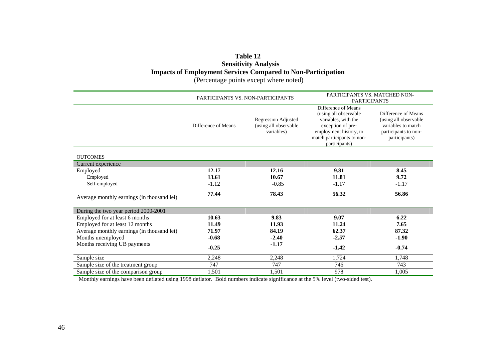## **Table 12 Sensitivity Analysis Impacts of Employment Services Compared to Non-Participation**

(Percentage points except where noted)

|                                            | PARTICIPANTS VS. NON-PARTICIPANTS |                                                                   | PARTICIPANTS VS. MATCHED NON-<br><b>PARTICIPANTS</b>                                                                                                              |                                                                                                             |  |
|--------------------------------------------|-----------------------------------|-------------------------------------------------------------------|-------------------------------------------------------------------------------------------------------------------------------------------------------------------|-------------------------------------------------------------------------------------------------------------|--|
|                                            | Difference of Means               | <b>Regression Adjusted</b><br>(using all observable<br>variables) | Difference of Means<br>(using all observable<br>variables, with the<br>exception of pre-<br>employment history, to<br>match participants to non-<br>participants) | Difference of Means<br>(using all observable<br>variables to match<br>participants to non-<br>participants) |  |
| <b>OUTCOMES</b>                            |                                   |                                                                   |                                                                                                                                                                   |                                                                                                             |  |
| Current experience                         |                                   |                                                                   |                                                                                                                                                                   |                                                                                                             |  |
| Employed                                   | 12.17                             | 12.16                                                             | 9.81                                                                                                                                                              | 8.45                                                                                                        |  |
| Employed                                   | 13.61                             | 10.67                                                             | 11.81                                                                                                                                                             | 9.72                                                                                                        |  |
| Self-employed                              | $-1.12$                           | $-0.85$                                                           | $-1.17$                                                                                                                                                           | $-1.17$                                                                                                     |  |
| Average monthly earnings (in thousand lei) | 77.44                             | 78.43                                                             | 56.32                                                                                                                                                             | 56.86                                                                                                       |  |
| During the two year period 2000-2001       |                                   |                                                                   |                                                                                                                                                                   |                                                                                                             |  |
| Employed for at least 6 months             | 10.63                             | 9.83                                                              | 9.07                                                                                                                                                              | 6.22                                                                                                        |  |
| Employed for at least 12 months            | 11.49                             | 11.93                                                             | 11.24                                                                                                                                                             | 7.65                                                                                                        |  |
| Average monthly earnings (in thousand lei) | 71.97                             | 84.19                                                             | 62.37                                                                                                                                                             | 87.32                                                                                                       |  |
| Months unemployed                          | $-0.68$                           | $-2.40$                                                           | $-2.57$                                                                                                                                                           | $-1.90$                                                                                                     |  |
| Months receiving UB payments               | $-0.25$                           | $-1.17$                                                           | $-1.42$                                                                                                                                                           | $-0.74$                                                                                                     |  |
| Sample size                                | 2,248                             | 2,248                                                             | 1,724                                                                                                                                                             | 1,748                                                                                                       |  |
| Sample size of the treatment group         | 747                               | 747                                                               | 746                                                                                                                                                               | 743                                                                                                         |  |
| Sample size of the comparison group        | 1,501                             | 1,501                                                             | 978                                                                                                                                                               | 1,005                                                                                                       |  |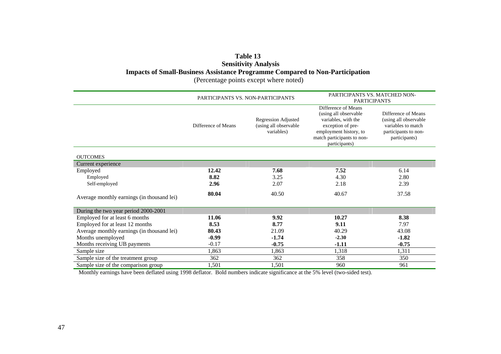## **Table 13 Sensitivity Analysis Impacts of Small-Business Assistance Programme Compared to Non-Participation**

(Percentage points except where noted)

|                                            |                     | PARTICIPANTS VS. NON-PARTICIPANTS                                 | PARTICIPANTS VS. MATCHED NON-<br><b>PARTICIPANTS</b>                                                                                                              |                                                                                                             |  |
|--------------------------------------------|---------------------|-------------------------------------------------------------------|-------------------------------------------------------------------------------------------------------------------------------------------------------------------|-------------------------------------------------------------------------------------------------------------|--|
|                                            | Difference of Means | <b>Regression Adjusted</b><br>(using all observable<br>variables) | Difference of Means<br>(using all observable<br>variables, with the<br>exception of pre-<br>employment history, to<br>match participants to non-<br>participants) | Difference of Means<br>(using all observable<br>variables to match<br>participants to non-<br>participants) |  |
| <b>OUTCOMES</b>                            |                     |                                                                   |                                                                                                                                                                   |                                                                                                             |  |
| Current experience                         |                     |                                                                   |                                                                                                                                                                   |                                                                                                             |  |
| Employed                                   | 12.42               | 7.68                                                              | 7.52                                                                                                                                                              | 6.14                                                                                                        |  |
| Employed                                   | 8.82                | 3.25                                                              | 4.30                                                                                                                                                              | 2.80                                                                                                        |  |
| Self-employed                              | 2.96                | 2.07                                                              | 2.18                                                                                                                                                              | 2.39                                                                                                        |  |
| Average monthly earnings (in thousand lei) | 80.04               | 40.50                                                             | 40.67                                                                                                                                                             | 37.58                                                                                                       |  |
| During the two year period 2000-2001       |                     |                                                                   |                                                                                                                                                                   |                                                                                                             |  |
| Employed for at least 6 months             | 11.06               | 9.92                                                              | 10.27                                                                                                                                                             | 8.38                                                                                                        |  |
| Employed for at least 12 months            | 8.53                | 8.77                                                              | 9.11                                                                                                                                                              | 7.97                                                                                                        |  |
| Average monthly earnings (in thousand lei) | 80.43               | 21.09                                                             | 40.29                                                                                                                                                             | 43.08                                                                                                       |  |
| Months unemployed                          | $-0.99$             | $-1.74$                                                           | $-2.30$                                                                                                                                                           | $-1.82$                                                                                                     |  |
| Months receiving UB payments               | $-0.17$             | $-0.75$                                                           | $-1.11$                                                                                                                                                           | $-0.75$                                                                                                     |  |
| Sample size                                | 1,863               | 1,863                                                             | 1,318                                                                                                                                                             | 1,311                                                                                                       |  |
| Sample size of the treatment group         | 362                 | 362                                                               | 358                                                                                                                                                               | 350                                                                                                         |  |
| Sample size of the comparison group        | 1,501               | 1,501                                                             | 960                                                                                                                                                               | 961                                                                                                         |  |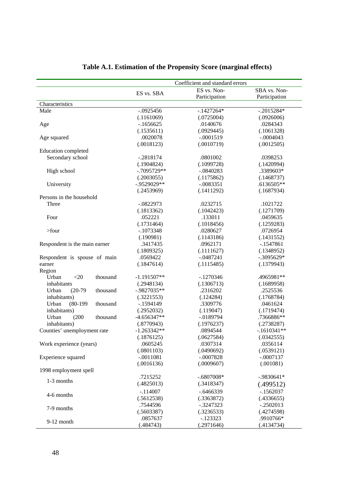|                                 |                | Coefficient and standard errors |               |
|---------------------------------|----------------|---------------------------------|---------------|
|                                 |                | ES vs. Non-                     | SBA vs. Non-  |
|                                 | ES vs. SBA     | Participation                   | Participation |
| Characteristics                 |                |                                 |               |
| Male                            | $-.0925456$    | $-.1427264*$                    | $-.2015284*$  |
|                                 | (.1161069)     | (.0725004)                      | (.0926006)    |
| Age                             | $-1656625$     | .0140676                        | .0284343      |
|                                 | (.1535611)     | (.0929445)                      | (.1061328)    |
| Age squared                     | .0020078       | $-.0001519$                     | $-.0004043$   |
|                                 | (.0018123)     | (.0010719)                      | (.0012505)    |
| Education completed             |                |                                 |               |
| Secondary school                | $-.2818174$    | .0801002                        | .0398253      |
|                                 | (.1904824)     | (.1099728)                      | (.1420994)    |
| High school                     | $-.7095729**$  | $-.0840283$                     | .3389603*     |
|                                 | (.2003055)     | (.1175862)                      | (.1468737)    |
| University                      | $-0.9529029**$ | $-.0083351$                     | .6136505**    |
|                                 | (.2453969)     | (.1411292)                      | (.1687934)    |
| Persons in the household        |                |                                 |               |
| Three                           | $-.0822973$    | .0232715                        | .1021722      |
|                                 | (.1813362)     | (.1042423)                      | (.1271709)    |
| Four                            | .052221        | .133011                         | .0459635      |
|                                 | (.1731464)     | (.1018456)                      | (.1259283)    |
| $>$ four                        | $-.1073348$    | .0280627                        | .0726954      |
|                                 | (.190981)      | (.1143186)                      | (.1431552)    |
| Respondent is the main earner   | .3417435       | .0962171                        | $-1547861$    |
|                                 | (.1809325)     | (.1111627)                      | (.1348952)    |
| Respondent is spouse of main    | .0569422       | $-.0487241$                     | $-.3095629*$  |
| earner                          | (.1847614)     | (.1115485)                      | (.1379943)    |
| Region                          |                |                                 |               |
| thousand<br>Urban<br>$<$ 20     | $-1.191507**$  | $-1270346$                      | .4965981**    |
| inhabitants                     | (.2948134)     | (.1306713)                      | (.1689958)    |
| $(20-79)$<br>Urban<br>thousand  | $-0.9827035**$ | .2316202                        | .2525536      |
| inhabitants)                    | (.3221553)     | (.124284)                       | (.1768784)    |
| $(80-199)$<br>Urban<br>thousand | $-.1594149$    | .3309776                        | .0461624      |
| inhabitants)                    | (.2952032)     | (.119047)                       | (.1719474)    |
| Urban<br>(200)<br>thousand      | $-4.656347**$  | $-.0189794$                     | .7366886**    |
| inhabitants)                    | (.8770943)     | (.1976237)                      | (.2738287)    |
| Counties' unemployment rate     | $-1.263342**$  | .0894544                        | $-.1610341**$ |
|                                 | (.1876125)     | (.0627584)                      | (.0342555)    |
| Work experience (years)         | .0605245       | .0307314                        | .0356114      |
|                                 | (.0801103)     | (.0490692)                      | (.0539121)    |
| Experience squared              | $-.0011081$    | $-.0007828$                     | $-.0007137$   |
|                                 | (.0016136)     | (.0009607)                      | (.001081)     |
| 1998 employment spell           |                |                                 |               |
| 1-3 months                      | .7215252       | $-.6807008*$                    | $-.9830641*$  |
|                                 | (.4825013)     | (.3418347)                      | (.499512)     |
|                                 | $-114007$      | $-.6466339$                     | $-.1562037$   |
| 4-6 months                      | (.5612538)     | (.3363872)                      | (.4336655)    |
|                                 | .7544596       | $-.3247323$                     | $-.2502013$   |
| 7-9 months                      | (.5603387)     | (.3236533)                      | (.4274598)    |
|                                 | .0857637       | $-123323$                       | .9910766*     |
| $9-12$ month                    | (.484743)      | (.2971646)                      | (.4134734)    |

# **Table A.1. Estimation of the Propensity Score (marginal effects)**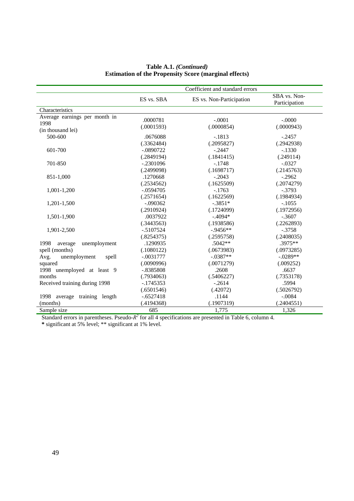|                                 |              | Coefficient and standard errors |                               |
|---------------------------------|--------------|---------------------------------|-------------------------------|
|                                 | ES vs. SBA   | ES vs. Non-Participation        | SBA vs. Non-<br>Participation |
| Characteristics                 |              |                                 |                               |
| Average earnings per month in   | .0000781     | $-.0001$                        | $-.0000$                      |
| 1998                            | (.0001593)   | (.0000854)                      | (.0000943)                    |
| (in thousand lei)               |              |                                 |                               |
| 500-600                         | .0676088     | $-.1813$                        | $-.2457$                      |
|                                 | (.3362484)   | (.2095827)                      | (.2942938)                    |
| 601-700                         | $-.0890722$  | $-.2447$                        | $-.1330$                      |
|                                 | (.2849194)   | (.1841415)                      | (.249114)                     |
| 701-850                         | $-.2301096$  | $-.1748$                        | $-.0327$                      |
|                                 | (.2499098)   | (.1698717)                      | (.2145763)                    |
| 851-1,000                       | .1270668     | $-.2043$                        | $-.2962$                      |
|                                 | (.2534562)   | (.1625509)                      | (.2074279)                    |
| 1,001-1,200                     | $-.0594705$  | $-.1763$                        | $-.3793$                      |
|                                 | (.2571654)   | (.1622569)                      | (.1984934)                    |
| 1,201-1,500                     | $-.090362$   | $-.3851*$                       | $-.1055$                      |
|                                 | (.2910924)   | (.1724099)                      | (.1972956)                    |
| 1,501-1,900                     | .0037922     | $-.4094*$                       | $-.3607$                      |
|                                 | (.3443563)   | (.1938586)                      | (.2262893)                    |
| 1,901-2,500                     | $-0.5107524$ | $-0.9456**$                     | $-.3758$                      |
|                                 | (.8254375)   | (.2595758)                      | (.2408035)                    |
| unemployment<br>1998<br>average | .1290935     | .5042**                         | .3975**                       |
| spell (months)                  | (.1080122)   | (.0673983)                      | (.0973285)                    |
| unemployment<br>spell<br>Avg.   | $-.0031777$  | $-.0387**$                      | $-.0289**$                    |
| squared                         | (.0090996)   | (.0071279)                      | (.009252)                     |
| 1998 unemployed at least 9      | $-.8385808$  | .2608                           | .6637                         |
| months                          | (.7934063)   | (.5406227)                      | (.7353178)                    |
| Received training during 1998   | $-1745353$   | $-.2614$                        | .5994                         |
|                                 | (.6501546)   | (.42072)                        | (.5026792)                    |
| 1998<br>average training length | $-.6527418$  | .1144                           | $-.0084$                      |
| (months)                        | (.4194368)   | (.1907319)                      | (.2404551)                    |
| Sample size                     | 685          | 1.775                           | 1.326                         |

## **Table A.1.** *(Continued)*  **Estimation of the Propensity Score (marginal effects)**

Standard errors in parentheses. Pseudo- $R^2$  for all 4 specifications are presented in Table 6, column 4.

**\*** significant at 5% level; \*\* significant at 1% level.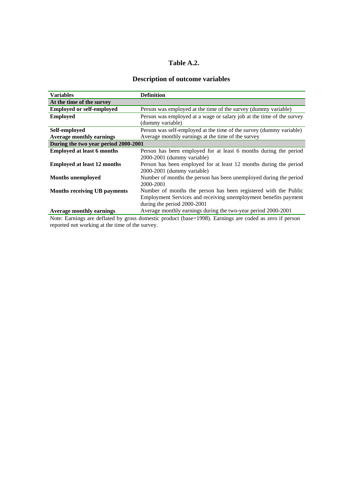## **Table A.2.**

## **Description of outcome variables**

| <b>Variables</b>                     | <b>Definition</b>                                                     |
|--------------------------------------|-----------------------------------------------------------------------|
| At the time of the survey            |                                                                       |
| <b>Employed or self-employed</b>     | Person was employed at the time of the survey (dummy variable)        |
| <b>Employed</b>                      | Person was employed at a wage or salary job at the time of the survey |
|                                      | (dummy variable)                                                      |
| Self-employed                        | Person was self-employed at the time of the survey (dummy variable)   |
| <b>Average monthly earnings</b>      | Average monthly earnings at the time of the survey                    |
| During the two year period 2000-2001 |                                                                       |
| <b>Employed at least 6 months</b>    | Person has been employed for at least 6 months during the period      |
|                                      | 2000-2001 (dummy variable)                                            |
| <b>Employed at least 12 months</b>   | Person has been employed for at least 12 months during the period     |
|                                      | 2000-2001 (dummy variable)                                            |
| <b>Months</b> unemployed             | Number of months the person has been unemployed during the period     |
|                                      | 2000-2001                                                             |
| <b>Months receiving UB payments</b>  | Number of months the person has been registered with the Public       |
|                                      | Employment Services and receiving unemployment benefits payment       |
|                                      | during the period 2000-2001                                           |
| <b>Average monthly earnings</b>      | Average monthly earnings during the two-year period 2000-2001         |

Note: Earnings are deflated by gross domestic product (base=1998). Earnings are coded as zero if person reported not working at the time of the survey.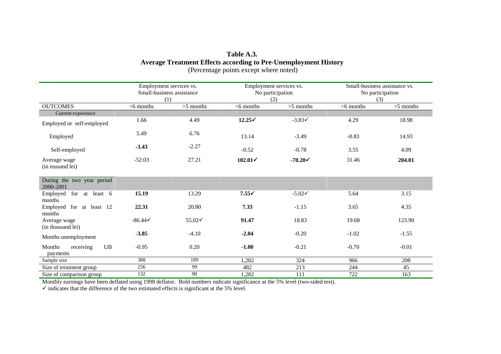## **Table A.3. Average Treatment Effects according to Pre-Unemployment History**  (Percentage points except where noted)

|                                                  |              | Employment services vs.<br>Small-business assistance<br>(1) | Employment services vs.<br>No participation<br>(2) |                    | Small-business assistance vs.<br>No participation<br>(3) |             |
|--------------------------------------------------|--------------|-------------------------------------------------------------|----------------------------------------------------|--------------------|----------------------------------------------------------|-------------|
| <b>OUTCOMES</b>                                  | $<$ 6 months | $>5$ months                                                 | $<$ 6 months                                       | $>5$ months        | $<$ 6 months                                             | $>5$ months |
| Current experience                               |              |                                                             |                                                    |                    |                                                          |             |
| Employed or self-employed                        | 1.66         | 4.49                                                        | $12.25\checkmark$                                  | $-3.83\checkmark$  | 4.29                                                     | 18.98       |
| Employed                                         | 5.49         | 6.76                                                        | 13.14                                              | $-3.49$            | $-0.83$                                                  | 14.93       |
| Self-employed                                    | $-3.43$      | $-2.27$                                                     | $-0.52$                                            | $-0.78$            | 3.55                                                     | 4.09        |
| Average wage<br>(in tousand lei)                 | $-52.03$     | 27.21                                                       | $102.01\check{ }$                                  | $-70.20\checkmark$ | 31.46                                                    | 204.01      |
| During the two year period<br>2000-2001          |              |                                                             |                                                    |                    |                                                          |             |
| for at least 6<br>Employed<br>months             | 15.19        | 13.29                                                       | $7.55\checkmark$                                   | $-5.02\check{ }$   | 5.64                                                     | 3.15        |
| Employed for at least 12<br>months               | 22.31        | 20.80                                                       | 7.33                                               | $-1.15$            | 3.65                                                     | 4.35        |
| Average wage<br>(in thousand lei)                | $-86.44<$    | 55.02√                                                      | 91.47                                              | 18.83              | 19.68                                                    | 123.90      |
| Months unemployment                              | $-3.85$      | $-4.10$                                                     | $-2.04$                                            | $-0.20$            | $-1.02$                                                  | $-1.55$     |
| $\mathbf{UB}$<br>Months<br>receiving<br>payments | $-0.95$      | 0.20                                                        | $-1.00$                                            | $-0.21$            | $-0.70$                                                  | $-0.01$     |
| Sample size                                      | 388          | 189                                                         | 1,282                                              | 324                | 966                                                      | 208         |
| Size of treatment group                          | 256          | 99                                                          | 482                                                | 213                | 244                                                      | 45          |
| Size of comparison group                         | 132          | 90                                                          | 1,282                                              | 111                | 722                                                      | 163         |

Monthly earnings have been deflated using 1998 deflator. Bold numbers indicate significance at the 5% level (two-sided test).